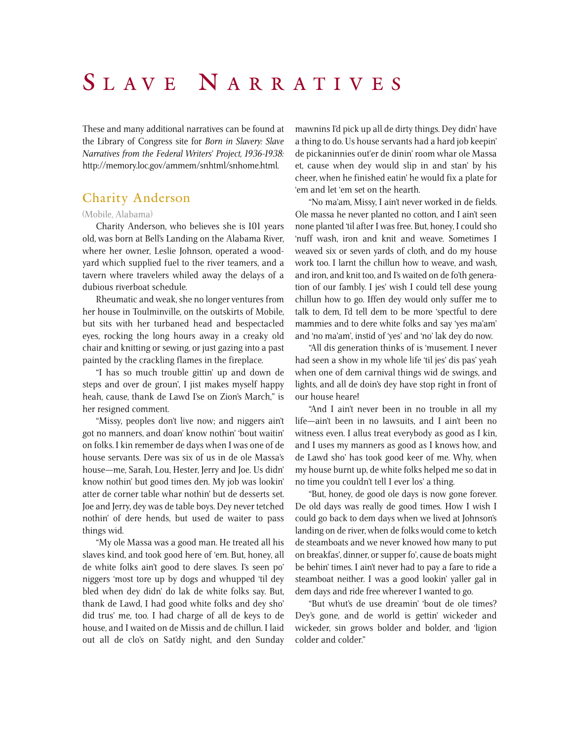# SLAVE NARRATIVES

These and many additional narratives can be found at the Library of Congress site for *Born in Slavery: Slave Narratives from the Federal Writers' Project, 1936-1938:* http://memory.loc.gov/ammem/snhtml/snhome.html.

# Charity Anderson

#### (Mobile, Alabama)

Charity Anderson, who believes she is 101 years old, was born at Bell's Landing on the Alabama River, where her owner, Leslie Johnson, operated a woodyard which supplied fuel to the river teamers, and a tavern where travelers whiled away the delays of a dubious riverboat schedule.

Rheumatic and weak, she no longer ventures from her house in Toulminville, on the outskirts of Mobile, but sits with her turbaned head and bespectacled eyes, rocking the long hours away in a creaky old chair and knitting or sewing, or just gazing into a past painted by the crackling flames in the fireplace.

"I has so much trouble gittin' up and down de steps and over de groun', I jist makes myself happy heah, cause, thank de Lawd I'se on Zion's March," is her resigned comment.

"Missy, peoples don't live now; and niggers ain't got no manners, and doan' know nothin' 'bout waitin' on folks. I kin remember de days when I was one of de house servants. Dere was six of us in de ole Massa's house—me, Sarah, Lou, Hester, Jerry and Joe. Us didn' know nothin' but good times den. My job was lookin' atter de corner table whar nothin' but de desserts set. Joe and Jerry, dey was de table boys. Dey never tetched nothin' of dere hends, but used de waiter to pass things wid.

"My ole Massa was a good man. He treated all his slaves kind, and took good here of 'em. But, honey, all de white folks ain't good to dere slaves. I's seen po' niggers 'most tore up by dogs and whupped 'til dey bled when dey didn' do lak de white folks say. But, thank de Lawd, I had good white folks and dey sho' did trus' me, too. I had charge of all de keys to de house, and I waited on de Missis and de chillun. I laid out all de clo's on Sat'dy night, and den Sunday

mawnins I'd pick up all de dirty things. Dey didn' have a thing to do. Us house servants had a hard job keepin' de pickaninnies out'er de dinin' room whar ole Massa et, cause when dey would slip in and stan' by his cheer, when he finished eatin' he would fix a plate for 'em and let 'em set on the hearth.

"No ma'am, Missy, I ain't never worked in de fields. Ole massa he never planted no cotton, and I ain't seen none planted 'til after I was free. But, honey, I could sho 'nuff wash, iron and knit and weave. Sometimes I weaved six or seven yards of cloth, and do my house work too. I larnt the chillun how to weave, and wash, and iron, and knit too, and I's waited on de fo'th generation of our fambly. I jes' wish I could tell dese young chillun how to go. Iffen dey would only suffer me to talk to dem, I'd tell dem to be more 'spectful to dere mammies and to dere white folks and say 'yes ma'am' and 'no ma'am', instid of 'yes' and 'no' lak dey do now.

"All dis generation thinks of is 'musement. I never had seen a show in my whole life 'til jes' dis pas' yeah when one of dem carnival things wid de swings, and lights, and all de doin's dey have stop right in front of our house heare!

"And I ain't never been in no trouble in all my life—ain't been in no lawsuits, and I ain't been no witness even. I allus treat everybody as good as I kin, and I uses my manners as good as I knows how, and de Lawd sho' has took good keer of me. Why, when my house burnt up, de white folks helped me so dat in no time you couldn't tell I ever los' a thing.

"But, honey, de good ole days is now gone forever. De old days was really de good times. How I wish I could go back to dem days when we lived at Johnson's landing on de river, when de folks would come to ketch de steamboats and we never knowed how many to put on breakfas', dinner, or supper fo', cause de boats might be behin' times. I ain't never had to pay a fare to ride a steamboat neither. I was a good lookin' yaller gal in dem days and ride free wherever I wanted to go.

"But whut's de use dreamin' 'bout de ole times? Dey's gone, and de world is gettin' wickeder and wickeder, sin grows bolder and bolder, and 'ligion colder and colder."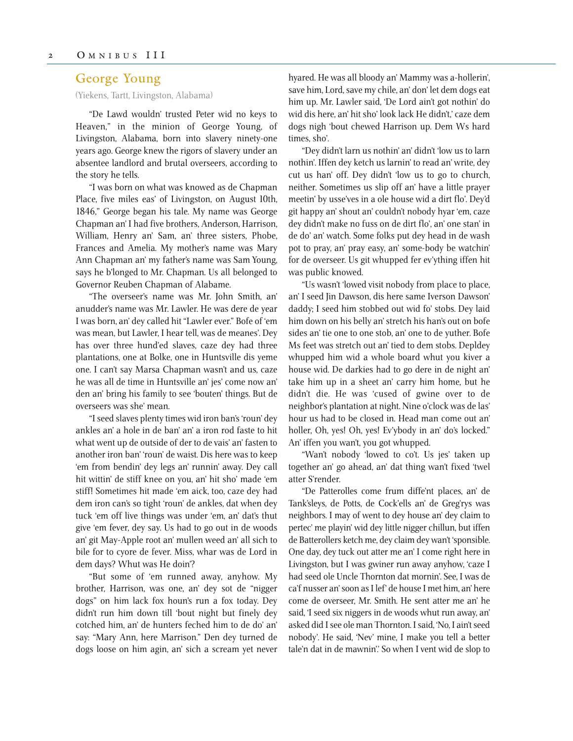# George Young

(Yiekens, Tartt, Livingston, Alabama)

"De Lawd wouldn' trusted Peter wid no keys to Heaven," in the minion of George Young, of Livingston, Alabama, born into slavery ninety-one years ago. George knew the rigors of slavery under an absentee landlord and brutal overseers, according to the story he tells.

"I was born on what was knowed as de Chapman Place, five miles eas' of Livingston, on August 10th, 1846," George began his tale. My name was George Chapman an' I had five brothers, Anderson, Harrison, William, Henry an' Sam, an' three sisters, Phobe, Frances and Amelia. My mother's name was Mary Ann Chapman an' my father's name was Sam Young, says he b'longed to Mr. Chapman. Us all belonged to Governor Reuben Chapman of Alabame.

"The overseer's name was Mr. John Smith, an' anudder's name was Mr. Lawler. He was dere de year I was born, an' dey called hit "Lawler ever." Bofe of 'em was mean, but Lawler, I hear tell, was de meanes'. Dey has over three hund'ed slaves, caze dey had three plantations, one at Bolke, one in Huntsville dis yeme one. I can't say Marsa Chapman wasn't and us, caze he was all de time in Huntsville an' jes' come now an' den an' bring his family to see 'bouten' things. But de overseers was she' mean.

"I seed slaves plenty times wid iron ban's 'roun' dey ankles an' a hole in de ban' an' a iron rod faste to hit what went up de outside of der to de vais' an' fasten to another iron ban' 'roun' de waist. Dis here was to keep 'em from bendin' dey legs an' runnin' away. Dey call hit wittin' de stiff knee on you, an' hit sho' made 'em stiff! Sometimes hit made 'em aick, too, caze dey had dem iron can's so tight 'roun' de ankles, dat when dey tuck 'em off live things was under 'em, an' dat's thut give 'em fever, dey say. Us had to go out in de woods an' git May-Apple root an' mullen weed an' all sich to bile for to cyore de fever. Miss, whar was de Lord in dem days? Whut was He doin'?

"But some of 'em runned away, anyhow. My brother, Harrison, was one, an' dey sot de "nigger dogs" on him lack fox houn's run a fox today. Dey didn't run him down till 'bout night but finely dey cotched him, an' de hunters feched him to de do' an' say: "Mary Ann, here Marrison." Den dey turned de dogs loose on him agin, an' sich a scream yet never hyared. He was all bloody an' Mammy was a-hollerin', save him, Lord, save my chile, an' don' let dem dogs eat him up. Mr. Lawler said, 'De Lord ain't got nothin' do wid dis here, an' hit sho' look lack He didn't,' caze dem dogs nigh 'bout chewed Harrison up. Dem Ws hard times, sho'.

"Dey didn't larn us nothin' an' didn't 'low us to larn nothin'. Iffen dey ketch us larnin' to read an' write, dey cut us han' off. Dey didn't 'low us to go to church, neither. Sometimes us slip off an' have a little prayer meetin' by usse'ves in a ole house wid a dirt flo'. Dey'd git happy an' shout an' couldn't nobody hyar 'em, caze dey didn't make no fuss on de dirt flo', an' one stan' in de do' an' watch. Some folks put dey head in de wash pot to pray, an' pray easy, an' some-body be watchin' for de overseer. Us git whupped fer ev'ything iffen hit was public knowed.

"Us wasn't 'lowed visit nobody from place to place, an' I seed Jin Dawson, dis here same Iverson Dawson' daddy; I seed him stobbed out wid fo' stobs. Dey laid him down on his belly an' stretch his han's out on bofe sides an' tie one to one stob, an' one to de yuther. Bofe Ms feet was stretch out an' tied to dem stobs. Depldey whupped him wid a whole board whut you kiver a house wid. De darkies had to go dere in de night an' take him up in a sheet an' carry him home, but he didn't die. He was 'cused of gwine over to de neighbor's plantation at night. Nine o'clock was de las' hour us had to be closed in. Head man come out an' holler, Oh, yes! Oh, yes! Ev'ybody in an' do's locked." An' iffen you wan't, you got whupped.

"Wan't nobody 'lowed to co't. Us jes' taken up together an' go ahead, an' dat thing wan't fixed 'twel atter S'render.

"De Patterolles come frum diffe'nt places, an' de Tank'sleys, de Potts, de Cock'ells an' de Greg'rys was neighbors. I may of went to dey house an' dey claim to pertec' me playin' wid dey little nigger chillun, but iffen de Batterollers ketch me, dey claim dey wan't 'sponsible. One day, dey tuck out atter me an' I come right here in Livingston, but I was gwiner run away anyhow, 'caze I had seed ole Uncle Thornton dat mornin'. See, I was de ca'f nusser an' soon as I lef' de house I met him, an' here come de overseer, Mr. Smith. He sent atter me an' he said, 'I seed six niggers in de woods whut run away, an' asked did I see ole man Thornton. I said, 'No, I ain't seed nobody'. He said, 'Nev' mine, I make you tell a better tale'n dat in de mawnin'.' So when I vent wid de slop to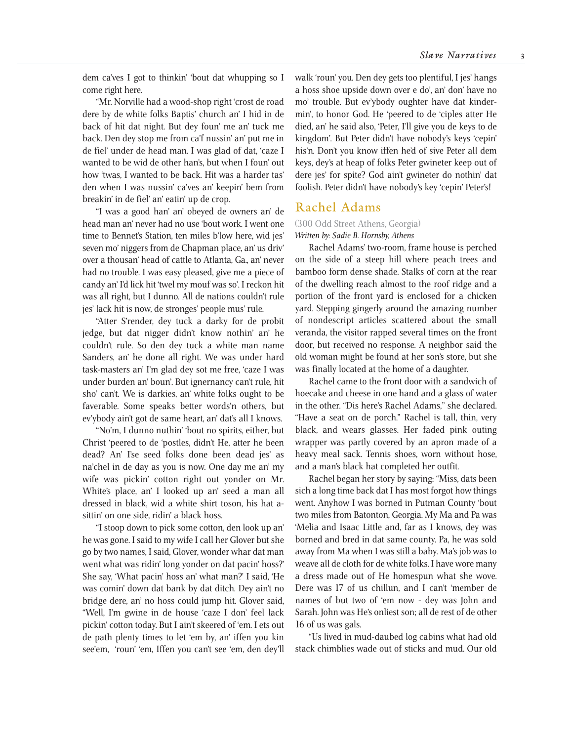dem ca'ves I got to thinkin' 'bout dat whupping so I come right here.

"Mr. Norville had a wood-shop right 'crost de road dere by de white folks Baptis' church an' I hid in de back of hit dat night. But dey foun' me an' tuck me back. Den dey stop me from ca'f nussin' an' put me in de fiel' under de head man. I was glad of dat, 'caze I wanted to be wid de other han's, but when I foun' out how 'twas, I wanted to be back. Hit was a harder tas' den when I was nussin' ca'ves an' keepin' bem from breakin' in de fiel' an' eatin' up de crop.

"I was a good han' an' obeyed de owners an' de head man an' never had no use 'bout work. I went one time to Bennet's Station, ten miles b'low here, wid jes' seven mo' niggers from de Chapman place, an' us driv' over a thousan' head of cattle to Atlanta, Ga., an' never had no trouble. I was easy pleased, give me a piece of candy an' I'd lick hit 'twel my mouf was so'. I reckon hit was all right, but I dunno. All de nations couldn't rule jes' lack hit is now, de stronges' people mus' rule.

"Atter S'render, dey tuck a darky for de probit jedge, but dat nigger didn't know nothin' an' he couldn't rule. So den dey tuck a white man name Sanders, an' he done all right. We was under hard task-masters an' I'm glad dey sot me free, 'caze I was under burden an' boun'. But ignernancy can't rule, hit sho' can't. We is darkies, an' white folks ought to be faverable. Some speaks better words'n others, but ev'ybody ain't got de same heart, an' dat's all I knows.

"No'm, I dunno nuthin' 'bout no spirits, either, but Christ 'peered to de 'postles, didn't He, atter he been dead? An' I'se seed folks done been dead jes' as na'chel in de day as you is now. One day me an' my wife was pickin' cotton right out yonder on Mr. White's place, an' I looked up an' seed a man all dressed in black, wid a white shirt toson, his hat asittin' on one side, ridin' a black hoss.

"I stoop down to pick some cotton, den look up an' he was gone. I said to my wife I call her Glover but she go by two names, I said, Glover, wonder whar dat man went what was ridin' long yonder on dat pacin' hoss?' She say, 'What pacin' hoss an' what man?' I said, 'He was comin' down dat bank by dat ditch. Dey ain't no bridge dere, an' no hoss could jump hit. Glover said, "Well, I'm gwine in de house 'caze I don' feel lack pickin' cotton today. But I ain't skeered of 'em. I ets out de path plenty times to let 'em by, an' iffen you kin see'em, 'roun' 'em, Iffen you can't see 'em, den dey'll walk 'roun' you. Den dey gets too plentiful, I jes' hangs a hoss shoe upside down over e do', an' don' have no mo' trouble. But ev'ybody oughter have dat kindermin', to honor God. He 'peered to de 'ciples atter He died, an' he said also, 'Peter, I'll give you de keys to de kingdom'. But Peter didn't have nobody's keys 'cepin' his'n. Don't you know iffen he'd of sive Peter all dem keys, dey's at heap of folks Peter gwineter keep out of dere jes' for spite? God ain't gwineter do nothin' dat foolish. Peter didn't have nobody's key 'cepin' Peter's!

# Rachel Adams

#### (300 Odd Street Athens, Georgia) *Written by: Sadie B. Hornsby, Athens*

Rachel Adams' two-room, frame house is perched on the side of a steep hill where peach trees and bamboo form dense shade. Stalks of corn at the rear of the dwelling reach almost to the roof ridge and a portion of the front yard is enclosed for a chicken yard. Stepping gingerly around the amazing number of nondescript articles scattered about the small veranda, the visitor rapped several times on the front door, but received no response. A neighbor said the old woman might be found at her son's store, but she was finally located at the home of a daughter.

Rachel came to the front door with a sandwich of hoecake and cheese in one hand and a glass of water in the other. "Dis here's Rachel Adams," she declared. "Have a seat on de porch." Rachel is tall, thin, very black, and wears glasses. Her faded pink outing wrapper was partly covered by an apron made of a heavy meal sack. Tennis shoes, worn without hose, and a man's black hat completed her outfit.

Rachel began her story by saying: "Miss, dats been sich a long time back dat I has most forgot how things went. Anyhow I was borned in Putman County 'bout two miles from Batonton, Georgia. My Ma and Pa was 'Melia and Isaac Little and, far as I knows, dey was borned and bred in dat same county. Pa, he was sold away from Ma when I was still a baby. Ma's job was to weave all de cloth for de white folks. I have wore many a dress made out of He homespun what she wove. Dere was 17 of us chillun, and I can't 'member de names of but two of 'em now - dey was John and Sarah. John was He's onliest son; all de rest of de other 16 of us was gals.

"Us lived in mud-daubed log cabins what had old stack chimblies wade out of sticks and mud. Our old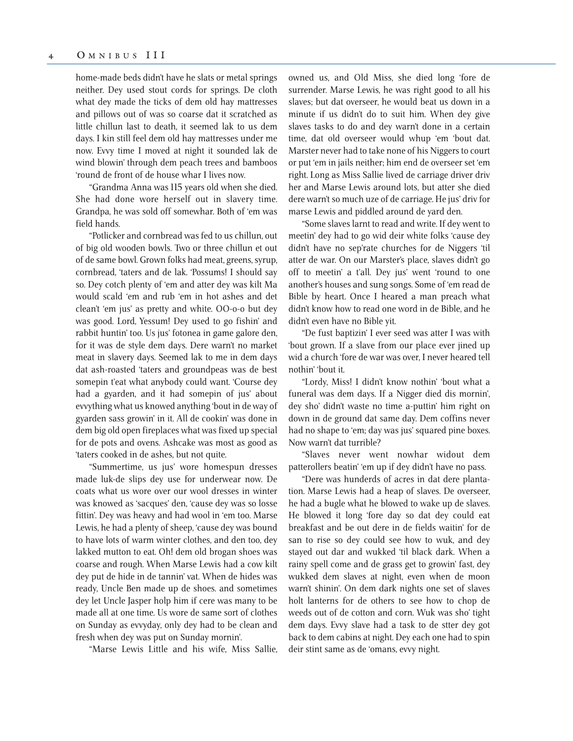home-made beds didn't have he slats or metal springs neither. Dey used stout cords for springs. De cloth what dey made the ticks of dem old hay mattresses and pillows out of was so coarse dat it scratched as little chillun last to death, it seemed lak to us dem days. I kin still feel dem old hay mattresses under me now. Evvy time I moved at night it sounded lak de wind blowin' through dem peach trees and bamboos 'round de front of de house whar I lives now.

"Grandma Anna was 115 years old when she died. She had done wore herself out in slavery time. Grandpa, he was sold off somewhar. Both of 'em was field hands.

"Potlicker and cornbread was fed to us chillun, out of big old wooden bowls. Two or three chillun et out of de same bowl. Grown folks had meat, greens, syrup, cornbread, 'taters and de lak. 'Possums! I should say so. Dey cotch plenty of 'em and atter dey was kilt Ma would scald 'em and rub 'em in hot ashes and det clean't 'em jus' as pretty and white. OO-o-o but dey was good. Lord, Yessum! Dey used to go fishin' and rabbit huntin' too. Us jus' fotonea in game galore den, for it was de style dem days. Dere warn't no market meat in slavery days. Seemed lak to me in dem days dat ash-roasted 'taters and groundpeas was de best somepin t'eat what anybody could want. 'Course dey had a gyarden, and it had somepin of jus' about evvything what us knowed anything 'bout in de way of gyarden sass growin' in it. All de cookin' was done in dem big old open fireplaces what was fixed up special for de pots and ovens. Ashcake was most as good as 'taters cooked in de ashes, but not quite.

"Summertime, us jus' wore homespun dresses made luk-de slips dey use for underwear now. De coats what us wore over our wool dresses in winter was knowed as 'sacques' den, 'cause dey was so losse fittin'. Dey was heavy and had wool in 'em too. Marse Lewis, he had a plenty of sheep, 'cause dey was bound to have lots of warm winter clothes, and den too, dey lakked mutton to eat. Oh! dem old brogan shoes was coarse and rough. When Marse Lewis had a cow kilt dey put de hide in de tannin' vat. When de hides was ready, Uncle Ben made up de shoes. and sometimes dey let Uncle Jasper holp him if cere was many to be made all at one time. Us wore de same sort of clothes on Sunday as evvyday, only dey had to be clean and fresh when dey was put on Sunday mornin'.

"Marse Lewis Little and his wife, Miss Sallie,

owned us, and Old Miss, she died long 'fore de surrender. Marse Lewis, he was right good to all his slaves; but dat overseer, he would beat us down in a minute if us didn't do to suit him. When dey give slaves tasks to do and dey warn't done in a certain time, dat old overseer would whup 'em 'bout dat. Marster never had to take none of his Niggers to court or put 'em in jails neither; him end de overseer set 'em right. Long as Miss Sallie lived de carriage driver driv her and Marse Lewis around lots, but atter she died dere warn't so much uze of de carriage. He jus' driv for marse Lewis and piddled around de yard den.

"Some slaves larnt to read and write. If dey went to meetin' dey had to go wid deir white folks 'cause dey didn't have no sep'rate churches for de Niggers 'til atter de war. On our Marster's place, slaves didn't go off to meetin' a t'all. Dey jus' went 'round to one another's houses and sung songs. Some of 'em read de Bible by heart. Once I heared a man preach what didn't know how to read one word in de Bible, and he didn't even have no Bible yit.

"De fust baptizin' I ever seed was atter I was with 'bout grown. If a slave from our place ever jined up wid a church 'fore de war was over, I never heared tell nothin' 'bout it.

"Lordy, Miss! I didn't know nothin' 'bout what a funeral was dem days. If a Nigger died dis mornin', dey sho' didn't waste no time a-puttin' him right on down in de ground dat same day. Dem coffins never had no shape to 'em; day was jus' squared pine boxes. Now warn't dat turrible?

"Slaves never went nowhar widout dem patterollers beatin' 'em up if dey didn't have no pass.

"Dere was hunderds of acres in dat dere plantation. Marse Lewis had a heap of slaves. De overseer, he had a bugle what he blowed to wake up de slaves. He blowed it long 'fore day so dat dey could eat breakfast and be out dere in de fields waitin' for de san to rise so dey could see how to wuk, and dey stayed out dar and wukked 'til black dark. When a rainy spell come and de grass get to growin' fast, dey wukked dem slaves at night, even when de moon warn't shinin'. On dem dark nights one set of slaves holt lanterns for de others to see how to chop de weeds out of de cotton and corn. Wuk was sho' tight dem days. Evvy slave had a task to de stter dey got back to dem cabins at night. Dey each one had to spin deir stint same as de 'omans, evvy night.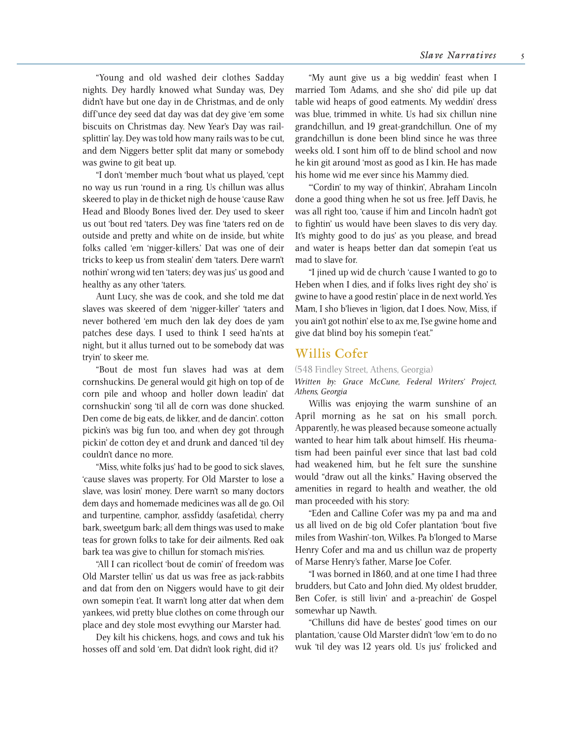"Young and old washed deir clothes Sadday nights. Dey hardly knowed what Sunday was, Dey didn't have but one day in de Christmas, and de only diff'unce dey seed dat day was dat dey give 'em some biscuits on Christmas day. New Year's Day was railsplittin' lay. Dey was told how many rails was to be cut, and dem Niggers better split dat many or somebody was gwine to git beat up.

"I don't 'member much 'bout what us played, 'cept no way us run 'round in a ring. Us chillun was allus skeered to play in de thicket nigh de house 'cause Raw Head and Bloody Bones lived der. Dey used to skeer us out 'bout red 'taters. Dey was fine 'taters red on de outside and pretty and white on de inside, but white folks called 'em 'nigger-killers.' Dat was one of deir tricks to keep us from stealin' dem 'taters. Dere warn't nothin' wrong wid ten 'taters; dey was jus' us good and healthy as any other 'taters.

Aunt Lucy, she was de cook, and she told me dat slaves was skeered of dem 'nigger-killer' 'taters and never bothered 'em much den lak dey does de yam patches dese days. I used to think I seed ha'nts at night, but it allus turned out to be somebody dat was tryin' to skeer me.

"Bout de most fun slaves had was at dem cornshuckins. De general would git high on top of de corn pile and whoop and holler down leadin' dat cornshuckin' song 'til all de corn was done shucked. Den come de big eats, de likker, and de dancin'. cotton pickin's was big fun too, and when dey got through pickin' de cotton dey et and drunk and danced 'til dey couldn't dance no more.

"Miss, white folks jus' had to be good to sick slaves, 'cause slaves was property. For Old Marster to lose a slave, was losin' money. Dere warn't so many doctors dem days and homemade medicines was all de go. Oil and turpentine, camphor, assfiddy (asafetida), cherry bark, sweetgum bark; all dem things was used to make teas for grown folks to take for deir ailments. Red oak bark tea was give to chillun for stomach mis'ries.

"All I can ricollect 'bout de comin' of freedom was Old Marster tellin' us dat us was free as jack-rabbits and dat from den on Niggers would have to git deir own somepin t'eat. It warn't long atter dat when dem yankees, wid pretty blue clothes on come through our place and dey stole most evvything our Marster had.

Dey kilt his chickens, hogs, and cows and tuk his hosses off and sold 'em. Dat didn't look right, did it?

"My aunt give us a big weddin' feast when I married Tom Adams, and she sho' did pile up dat table wid heaps of good eatments. My weddin' dress was blue, trimmed in white. Us had six chillun nine grandchillun, and 19 great-grandchillun. One of my grandchillun is done been blind since he was three weeks old. I sont him off to de blind school and now he kin git around 'most as good as I kin. He has made his home wid me ever since his Mammy died.

"'Cordin' to my way of thinkin', Abraham Lincoln done a good thing when he sot us free. Jeff Davis, he was all right too, 'cause if him and Lincoln hadn't got to fightin' us would have been slaves to dis very day. It's mighty good to do jus' as you please, and bread and water is heaps better dan dat somepin t'eat us mad to slave for.

"I jined up wid de church 'cause I wanted to go to Heben when I dies, and if folks lives right dey sho' is gwine to have a good restin' place in de next world. Yes Mam, I sho b'lieves in 'ligion, dat I does. Now, Miss, if you ain't got nothin' else to ax me, I'se gwine home and give dat blind boy his somepin t'eat."

## Willis Cofer

(548 Findley Street, Athens, Georgia)

*Written by: Grace McCune, Federal Writers' Project, Athens, Georgia*

Willis was enjoying the warm sunshine of an April morning as he sat on his small porch. Apparently, he was pleased because someone actually wanted to hear him talk about himself. His rheumatism had been painful ever since that last bad cold had weakened him, but he felt sure the sunshine would "draw out all the kinks." Having observed the amenities in regard to health and weather, the old man proceeded with his story:

"Eden and Calline Cofer was my pa and ma and us all lived on de big old Cofer plantation 'bout five miles from Washin'-ton, Wilkes. Pa b'longed to Marse Henry Cofer and ma and us chillun waz de property of Marse Henry's father, Marse Joe Cofer.

"I was borned in 1860, and at one time I had three brudders, but Cato and John died. My oldest brudder, Ben Cofer, is still livin' and a-preachin' de Gospel somewhar up Nawth.

"Chilluns did have de bestes' good times on our plantation, 'cause Old Marster didn't 'low 'em to do no wuk 'til dey was 12 years old. Us jus' frolicked and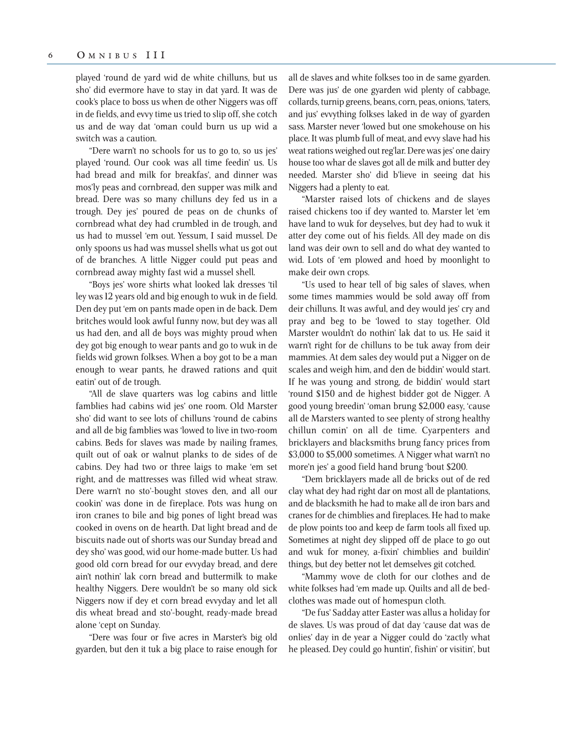played 'round de yard wid de white chilluns, but us sho' did evermore have to stay in dat yard. It was de cook's place to boss us when de other Niggers was off in de fields, and evvy time us tried to slip off, she cotch us and de way dat 'oman could burn us up wid a switch was a caution.

"Dere warn't no schools for us to go to, so us jes' played 'round. Our cook was all time feedin' us. Us had bread and milk for breakfas', and dinner was mos'ly peas and cornbread, den supper was milk and bread. Dere was so many chilluns dey fed us in a trough. Dey jes' poured de peas on de chunks of cornbread what dey had crumbled in de trough, and us had to mussel 'em out. Yessum, I said mussel. De only spoons us had was mussel shells what us got out of de branches. A little Nigger could put peas and cornbread away mighty fast wid a mussel shell.

"Boys jes' wore shirts what looked lak dresses 'til ley was 12 years old and big enough to wuk in de field. Den dey put 'em on pants made open in de back. Dem britches would look awful funny now, but dey was all us had den, and all de boys was mighty proud when dey got big enough to wear pants and go to wuk in de fields wid grown folkses. When a boy got to be a man enough to wear pants, he drawed rations and quit eatin' out of de trough.

"All de slave quarters was log cabins and little famblies had cabins wid jes' one room. Old Marster sho' did want to see lots of chilluns 'round de cabins and all de big famblies was 'lowed to live in two-room cabins. Beds for slaves was made by nailing frames, quilt out of oak or walnut planks to de sides of de cabins. Dey had two or three laigs to make 'em set right, and de mattresses was filled wid wheat straw. Dere warn't no sto'-bought stoves den, and all our cookin' was done in de fireplace. Pots was hung on iron cranes to bile and big pones of light bread was cooked in ovens on de hearth. Dat light bread and de biscuits nade out of shorts was our Sunday bread and dey sho' was good, wid our home-made butter. Us had good old corn bread for our evvyday bread, and dere ain't nothin' lak corn bread and buttermilk to make healthy Niggers. Dere wouldn't be so many old sick Niggers now if dey et corn bread evvyday and let all dis wheat bread and sto'-bought, ready-made bread alone 'cept on Sunday.

"Dere was four or five acres in Marster's big old gyarden, but den it tuk a big place to raise enough for

all de slaves and white folkses too in de same gyarden. Dere was jus' de one gyarden wid plenty of cabbage, collards, turnip greens, beans, corn, peas, onions, 'taters, and jus' evvything folkses laked in de way of gyarden sass. Marster never 'lowed but one smokehouse on his place. It was plumb full of meat, and evvy slave had his weat rations weighed out reg'lar. Dere was jes' one dairy house too whar de slaves got all de milk and butter dey needed. Marster sho' did b'lieve in seeing dat his Niggers had a plenty to eat.

"Marster raised lots of chickens and de slayes raised chickens too if dey wanted to. Marster let 'em have land to wuk for deyselves, but dey had to wuk it atter dey come out of his fields. All dey made on dis land was deir own to sell and do what dey wanted to wid. Lots of 'em plowed and hoed by moonlight to make deir own crops.

"Us used to hear tell of big sales of slaves, when some times mammies would be sold away off from deir chilluns. It was awful, and dey would jes' cry and pray and beg to be 'lowed to stay together. Old Marster wouldn't do nothin' lak dat to us. He said it warn't right for de chilluns to be tuk away from deir mammies. At dem sales dey would put a Nigger on de scales and weigh him, and den de biddin' would start. If he was young and strong, de biddin' would start 'round \$150 and de highest bidder got de Nigger. A good young breedin' 'oman brung \$2,000 easy, 'cause all de Marsters wanted to see plenty of strong healthy chillun comin' on all de time. Cyarpenters and bricklayers and blacksmiths brung fancy prices from \$3,000 to \$5,000 sometimes. A Nigger what warn't no more'n jes' a good field hand brung 'bout \$200.

"Dem bricklayers made all de bricks out of de red clay what dey had right dar on most all de plantations, and de blacksmith he had to make all de iron bars and cranes for de chimblies and fireplaces. He had to make de plow points too and keep de farm tools all fixed up. Sometimes at night dey slipped off de place to go out and wuk for money, a-fixin' chimblies and buildin' things, but dey better not let demselves git cotched.

"Mammy wove de cloth for our clothes and de white folkses had 'em made up. Quilts and all de bedclothes was made out of homespun cloth.

"De fus' Sadday atter Easter was allus a holiday for de slaves. Us was proud of dat day 'cause dat was de onlies' day in de year a Nigger could do 'zactly what he pleased. Dey could go huntin', fishin' or visitin', but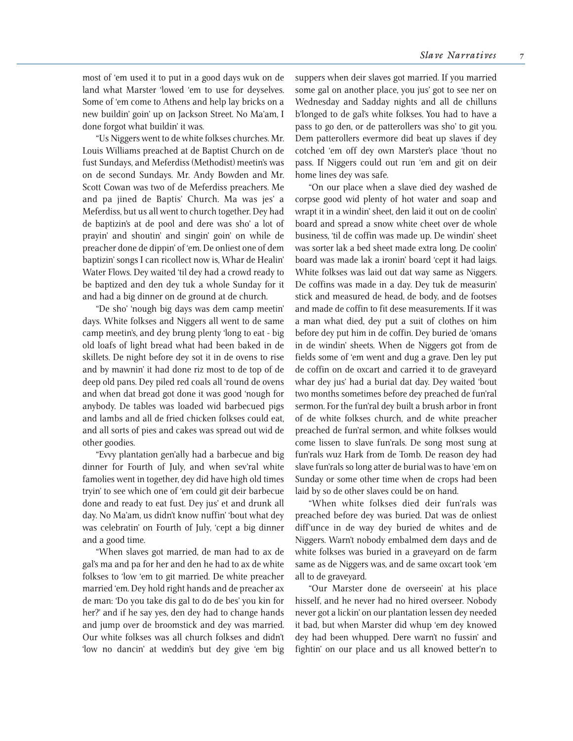most of 'em used it to put in a good days wuk on de land what Marster 'lowed 'em to use for deyselves. Some of 'em come to Athens and help lay bricks on a new buildin' goin' up on Jackson Street. No Ma'am, I done forgot what buildin' it was.

"Us Niggers went to de white folkses churches. Mr. Louis Williams preached at de Baptist Church on de fust Sundays, and Meferdiss (Methodist) meetin's was on de second Sundays. Mr. Andy Bowden and Mr. Scott Cowan was two of de Meferdiss preachers. Me and pa jined de Baptis' Church. Ma was jes' a Meferdiss, but us all went to church together. Dey had de baptizin's at de pool and dere was sho' a lot of prayin' and shoutin' and singin' goin' on while de preacher done de dippin' of 'em. De onliest one of dem baptizin' songs I can ricollect now is, Whar de Healin' Water Flows. Dey waited 'til dey had a crowd ready to be baptized and den dey tuk a whole Sunday for it and had a big dinner on de ground at de church.

"De sho' 'nough big days was dem camp meetin' days. White folkses and Niggers all went to de same camp meetin's, and dey brung plenty 'long to eat - big old loafs of light bread what had been baked in de skillets. De night before dey sot it in de ovens to rise and by mawnin' it had done riz most to de top of de deep old pans. Dey piled red coals all 'round de ovens and when dat bread got done it was good 'nough for anybody. De tables was loaded wid barbecued pigs and lambs and all de fried chicken folkses could eat, and all sorts of pies and cakes was spread out wid de other goodies.

"Evvy plantation gen'ally had a barbecue and big dinner for Fourth of July, and when sev'ral white famolies went in together, dey did have high old times tryin' to see which one of 'em could git deir barbecue done and ready to eat fust. Dey jus' et and drunk all day. No Ma'am, us didn't know nuffin' 'bout what dey was celebratin' on Fourth of July, 'cept a big dinner and a good time.

"When slaves got married, de man had to ax de gal's ma and pa for her and den he had to ax de white folkses to 'low 'em to git married. De white preacher married 'em. Dey hold right hands and de preacher ax de man: 'Do you take dis gal to do de bes' you kin for her?' and if he say yes, den dey had to change hands and jump over de broomstick and dey was married. Our white folkses was all church folkses and didn't 'low no dancin' at weddin's but dey give 'em big

suppers when deir slaves got married. If you married some gal on another place, you jus' got to see ner on Wednesday and Sadday nights and all de chilluns b'longed to de gal's white folkses. You had to have a pass to go den, or de patterollers was sho' to git you. Dem patterollers evermore did beat up slaves if dey cotched 'em off dey own Marster's place 'thout no pass. If Niggers could out run 'em and git on deir home lines dey was safe.

"On our place when a slave died dey washed de corpse good wid plenty of hot water and soap and wrapt it in a windin' sheet, den laid it out on de coolin' board and spread a snow white cheet over de whole business, 'til de coffin was made up. De windin' sheet was sorter lak a bed sheet made extra long. De coolin' board was made lak a ironin' board 'cept it had laigs. White folkses was laid out dat way same as Niggers. De coffins was made in a day. Dey tuk de measurin' stick and measured de head, de body, and de footses and made de coffin to fit dese measurements. If it was a man what died, dey put a suit of clothes on him before dey put him in de coffin. Dey buried de 'omans in de windin' sheets. When de Niggers got from de fields some of 'em went and dug a grave. Den ley put de coffin on de oxcart and carried it to de graveyard whar dey jus' had a burial dat day. Dey waited 'bout two months sometimes before dey preached de fun'ral sermon. For the fun'ral dey built a brush arbor in front of de white folkses church, and de white preacher preached de fun'ral sermon, and white folkses would come lissen to slave fun'rals. De song most sung at fun'rals wuz Hark from de Tomb. De reason dey had slave fun'rals so long atter de burial was to have 'em on Sunday or some other time when de crops had been laid by so de other slaves could be on hand.

"When white folkses died deir fun'rals was preached before dey was buried. Dat was de onliest diff'unce in de way dey buried de whites and de Niggers. Warn't nobody embalmed dem days and de white folkses was buried in a graveyard on de farm same as de Niggers was, and de same oxcart took 'em all to de graveyard.

"Our Marster done de overseein' at his place hisself, and he never had no hired overseer. Nobody never got a lickin' on our plantation lessen dey needed it bad, but when Marster did whup 'em dey knowed dey had been whupped. Dere warn't no fussin' and fightin' on our place and us all knowed better'n to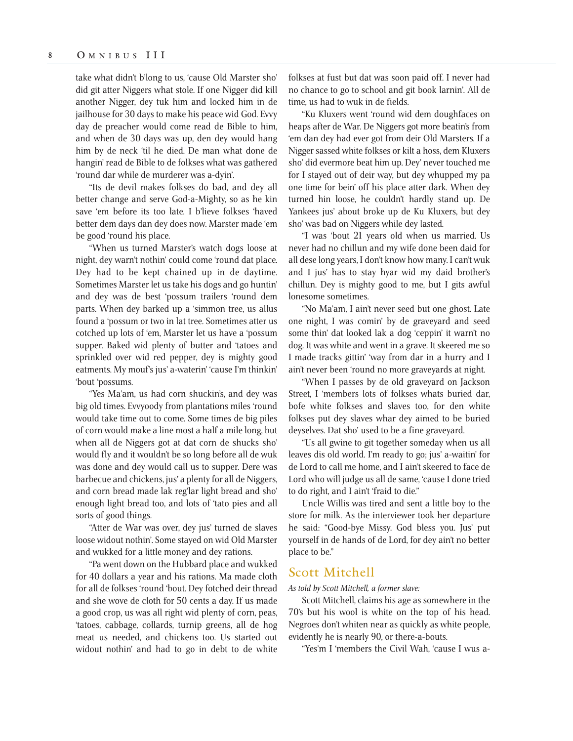take what didn't b'long to us, 'cause Old Marster sho' did git atter Niggers what stole. If one Nigger did kill another Nigger, dey tuk him and locked him in de jailhouse for 30 days to make his peace wid God. Evvy day de preacher would come read de Bible to him, and when de 30 days was up, den dey would hang him by de neck 'til he died. De man what done de hangin' read de Bible to de folkses what was gathered 'round dar while de murderer was a-dyin'.

"Its de devil makes folkses do bad, and dey all better change and serve God-a-Mighty, so as he kin save 'em before its too late. I b'lieve folkses 'haved better dem days dan dey does now. Marster made 'em be good 'round his place.

"When us turned Marster's watch dogs loose at night, dey warn't nothin' could come 'round dat place. Dey had to be kept chained up in de daytime. Sometimes Marster let us take his dogs and go huntin' and dey was de best 'possum trailers 'round dem parts. When dey barked up a 'simmon tree, us allus found a 'possum or two in lat tree. Sometimes atter us cotched up lots of 'em, Marster let us have a 'possum supper. Baked wid plenty of butter and 'tatoes and sprinkled over wid red pepper, dey is mighty good eatments. My mouf's jus' a-waterin' 'cause I'm thinkin' 'bout 'possums.

"Yes Ma'am, us had corn shuckin's, and dey was big old times. Evvyoody from plantations miles 'round would take time out to come. Some times de big piles of corn would make a line most a half a mile long, but when all de Niggers got at dat corn de shucks sho' would fly and it wouldn't be so long before all de wuk was done and dey would call us to supper. Dere was barbecue and chickens, jus' a plenty for all de Niggers, and corn bread made lak reg'lar light bread and sho' enough light bread too, and lots of 'tato pies and all sorts of good things.

"Atter de War was over, dey jus' turned de slaves loose widout nothin'. Some stayed on wid Old Marster and wukked for a little money and dey rations.

"Pa went down on the Hubbard place and wukked for 40 dollars a year and his rations. Ma made cloth for all de folkses 'round 'bout. Dey fotched deir thread and she wove de cloth for 50 cents a day. If us made a good crop, us was all right wid plenty of corn, peas, 'tatoes, cabbage, collards, turnip greens, all de hog meat us needed, and chickens too. Us started out widout nothin' and had to go in debt to de white folkses at fust but dat was soon paid off. I never had no chance to go to school and git book larnin'. All de time, us had to wuk in de fields.

"Ku Kluxers went 'round wid dem doughfaces on heaps after de War. De Niggers got more beatin's from 'em dan dey had ever got from deir Old Marsters. If a Nigger sassed white folkses or kilt a hoss, dem Kluxers sho' did evermore beat him up. Dey' never touched me for I stayed out of deir way, but dey whupped my pa one time for bein' off his place atter dark. When dey turned hin loose, he couldn't hardly stand up. De Yankees jus' about broke up de Ku Kluxers, but dey sho' was bad on Niggers while dey lasted.

"I was 'bout 21 years old when us married. Us never had no chillun and my wife done been daid for all dese long years, I don't know how many. I can't wuk and I jus' has to stay hyar wid my daid brother's chillun. Dey is mighty good to me, but I gits awful lonesome sometimes.

"No Ma'am, I ain't never seed but one ghost. Late one night, I was comin' by de graveyard and seed some thin' dat looked lak a dog 'ceppin' it warn't no dog. It was white and went in a grave. It skeered me so I made tracks gittin' 'way from dar in a hurry and I ain't never been 'round no more graveyards at night.

"When I passes by de old graveyard on Jackson Street, I 'members lots of folkses whats buried dar, bofe white folkses and slaves too, for den white folkses put dey slaves whar dey aimed to be buried deyselves. Dat sho' used to be a fine graveyard.

"Us all gwine to git together someday when us all leaves dis old world. I'm ready to go; jus' a-waitin' for de Lord to call me home, and I ain't skeered to face de Lord who will judge us all de same, 'cause I done tried to do right, and I ain't 'fraid to die."

Uncle Willis was tired and sent a little boy to the store for milk. As the interviewer took her departure he said: "Good-bye Missy. God bless you. Jus' put yourself in de hands of de Lord, for dey ain't no better place to be."

#### Scott Mitchell

*As told by Scott Mitchell, a former slave:*

Scott Mitchell, claims his age as somewhere in the 70's but his wool is white on the top of his head. Negroes don't whiten near as quickly as white people, evidently he is nearly 90, or there-a-bouts.

"Yes'm I 'members the Civil Wah, 'cause I wus a-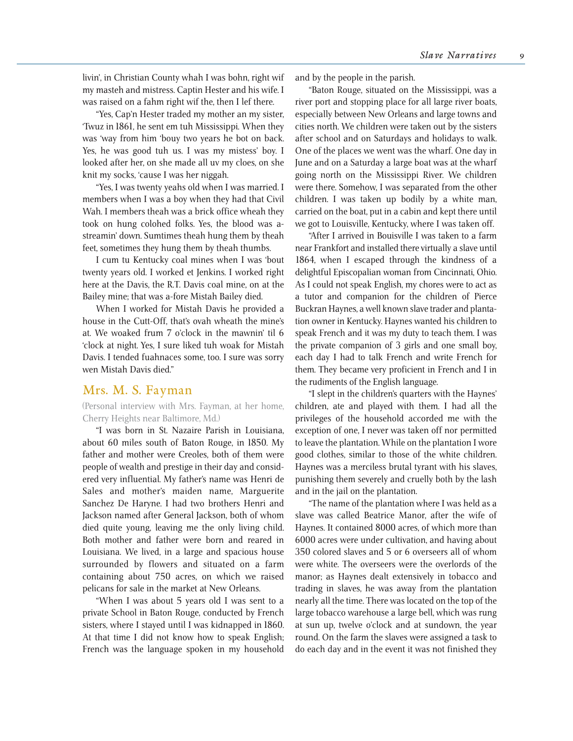livin', in Christian County whah I was bohn, right wif my masteh and mistress. Captin Hester and his wife. I was raised on a fahm right wif the, then I lef there.

"Yes, Cap'n Hester traded my mother an my sister, 'Twuz in 1861, he sent em tuh Mississippi. When they was 'way from him 'bouy two years he bot on back. Yes, he was good tuh us. I was my mistess' boy. I looked after her, on she made all uv my cloes, on she knit my socks, 'cause I was her niggah.

"Yes, I was twenty yeahs old when I was married. I members when I was a boy when they had that Civil Wah. I members theah was a brick office wheah they took on hung colohed folks. Yes, the blood was astreamin' down. Sumtimes theah hung them by theah feet, sometimes they hung them by theah thumbs.

I cum tu Kentucky coal mines when I was 'bout twenty years old. I worked et Jenkins. I worked right here at the Davis, the R.T. Davis coal mine, on at the Bailey mine; that was a-fore Mistah Bailey died.

When I worked for Mistah Davis he provided a house in the Cutt-Off, that's ovah wheath the mine's at. We woaked frum 7 o'clock in the mawnin' til 6 'clock at night. Yes, I sure liked tuh woak for Mistah Davis. I tended fuahnaces some, too. I sure was sorry wen Mistah Davis died."

# Mrs. M. S. Fayman

(Personal interview with Mrs. Fayman, at her home, Cherry Heights near Baltimore, Md.)

"I was born in St. Nazaire Parish in Louisiana, about 60 miles south of Baton Rouge, in 1850. My father and mother were Creoles, both of them were people of wealth and prestige in their day and considered very influential. My father's name was Henri de Sales and mother's maiden name, Marguerite Sanchez De Haryne. I had two brothers Henri and Jackson named after General Jackson, both of whom died quite young, leaving me the only living child. Both mother and father were born and reared in Louisiana. We lived, in a large and spacious house surrounded by flowers and situated on a farm containing about 750 acres, on which we raised pelicans for sale in the market at New Orleans.

"When I was about 5 years old I was sent to a private School in Baton Rouge, conducted by French sisters, where I stayed until I was kidnapped in 1860. At that time I did not know how to speak English; French was the language spoken in my household and by the people in the parish.

"Baton Rouge, situated on the Mississippi, was a river port and stopping place for all large river boats, especially between New Orleans and large towns and cities north. We children were taken out by the sisters after school and on Saturdays and holidays to walk. One of the places we went was the wharf. One day in June and on a Saturday a large boat was at the wharf going north on the Mississippi River. We children were there. Somehow, I was separated from the other children. I was taken up bodily by a white man, carried on the boat, put in a cabin and kept there until we got to Louisville, Kentucky, where I was taken off.

"After I arrived in Bouisville I was taken to a farm near Frankfort and installed there virtually a slave until 1864, when I escaped through the kindness of a delightful Episcopalian woman from Cincinnati, Ohio. As I could not speak English, my chores were to act as a tutor and companion for the children of Pierce Buckran Haynes, a well known slave trader and plantation owner in Kentucky. Haynes wanted his children to speak French and it was my duty to teach them. I was the private companion of 3 girls and one small boy, each day I had to talk French and write French for them. They became very proficient in French and I in the rudiments of the English language.

"I slept in the children's quarters with the Haynes' children, ate and played with them. I had all the privileges of the household accorded me with the exception of one, I never was taken off nor permitted to leave the plantation. While on the plantation I wore good clothes, similar to those of the white children. Haynes was a merciless brutal tyrant with his slaves, punishing them severely and cruelly both by the lash and in the jail on the plantation.

"The name of the plantation where I was held as a slave was called Beatrice Manor, after the wife of Haynes. It contained 8000 acres, of which more than 6000 acres were under cultivation, and having about 350 colored slaves and 5 or 6 overseers all of whom were white. The overseers were the overlords of the manor; as Haynes dealt extensively in tobacco and trading in slaves, he was away from the plantation nearly all the time. There was located on the top of the large tobacco warehouse a large bell, which was rung at sun up, twelve o'clock and at sundown, the year round. On the farm the slaves were assigned a task to do each day and in the event it was not finished they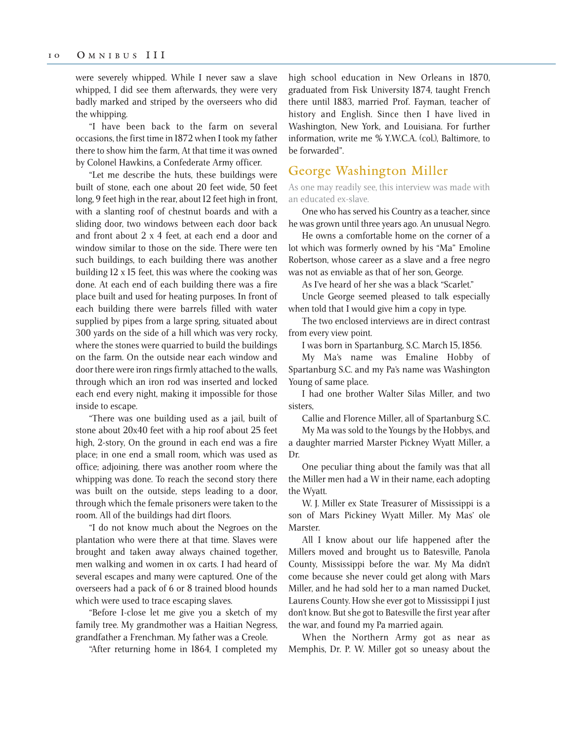were severely whipped. While I never saw a slave whipped, I did see them afterwards, they were very badly marked and striped by the overseers who did the whipping.

"I have been back to the farm on several occasions, the first time in 1872 when I took my father there to show him the farm, At that time it was owned by Colonel Hawkins, a Confederate Army officer.

"Let me describe the huts, these buildings were built of stone, each one about 20 feet wide, 50 feet long, 9 feet high in the rear, about 12 feet high in front, with a slanting roof of chestnut boards and with a sliding door, two windows between each door back and front about 2 x 4 feet, at each end a door and window similar to those on the side. There were ten such buildings, to each building there was another building 12 x 15 feet, this was where the cooking was done. At each end of each building there was a fire place built and used for heating purposes. In front of each building there were barrels filled with water supplied by pipes from a large spring, situated about 300 yards on the side of a hill which was very rocky, where the stones were quarried to build the buildings on the farm. On the outside near each window and door there were iron rings firmly attached to the walls, through which an iron rod was inserted and locked each end every night, making it impossible for those inside to escape.

"There was one building used as a jail, built of stone about 20x40 feet with a hip roof about 25 feet high, 2-story, On the ground in each end was a fire place; in one end a small room, which was used as office; adjoining, there was another room where the whipping was done. To reach the second story there was built on the outside, steps leading to a door, through which the female prisoners were taken to the room. All of the buildings had dirt floors.

"I do not know much about the Negroes on the plantation who were there at that time. Slaves were brought and taken away always chained together, men walking and women in ox carts. I had heard of several escapes and many were captured. One of the overseers had a pack of 6 or 8 trained blood hounds which were used to trace escaping slaves.

"Before I-close let me give you a sketch of my family tree. My grandmother was a Haitian Negress, grandfather a Frenchman. My father was a Creole.

"After returning home in 1864, I completed my

high school education in New Orleans in 1870, graduated from Fisk University 1874, taught French there until 1883, married Prof. Fayman, teacher of history and English. Since then I have lived in Washington, New York, and Louisiana. For further information, write me % Y.W.C.A. (col.), Baltimore, to be forwarded".

# George Washington Miller

As one may readily see, this interview was made with an educated ex-slave.

One who has served his Country as a teacher, since he was grown until three years ago. An unusual Negro.

He owns a comfortable home on the corner of a lot which was formerly owned by his "Ma" Emoline Robertson, whose career as a slave and a free negro was not as enviable as that of her son, George.

As I've heard of her she was a black "Scarlet."

Uncle George seemed pleased to talk especially when told that I would give him a copy in type.

The two enclosed interviews are in direct contrast from every view point.

I was born in Spartanburg, S.C. March 15, 1856.

My Ma's name was Emaline Hobby of Spartanburg S.C. and my Pa's name was Washington Young of same place.

I had one brother Walter Silas Miller, and two sisters,

Callie and Florence Miller, all of Spartanburg S.C.

My Ma was sold to the Youngs by the Hobbys, and a daughter married Marster Pickney Wyatt Miller, a Dr.

One peculiar thing about the family was that all the Miller men had a W in their name, each adopting the Wyatt.

W. J. Miller ex State Treasurer of Mississippi is a son of Mars Pickiney Wyatt Miller. My Mas' ole Marster.

All I know about our life happened after the Millers moved and brought us to Batesville, Panola County, Mississippi before the war. My Ma didn't come because she never could get along with Mars Miller, and he had sold her to a man named Ducket, Laurens County. How she ever got to Mississippi I just don't know. But she got to Batesville the first year after the war, and found my Pa married again.

When the Northern Army got as near as Memphis, Dr. P. W. Miller got so uneasy about the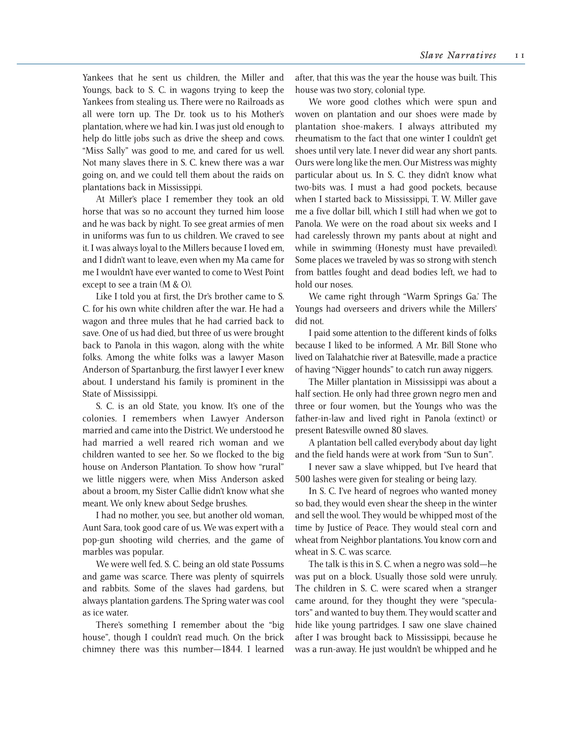Yankees that he sent us children, the Miller and Youngs, back to S. C. in wagons trying to keep the Yankees from stealing us. There were no Railroads as all were torn up. The Dr. took us to his Mother's plantation, where we had kin. I was just old enough to help do little jobs such as drive the sheep and cows. "Miss Sally" was good to me, and cared for us well. Not many slaves there in S. C. knew there was a war going on, and we could tell them about the raids on plantations back in Mississippi.

At Miller's place I remember they took an old horse that was so no account they turned him loose and he was back by night. To see great armies of men in uniforms was fun to us children. We craved to see it. I was always loyal to the Millers because I loved em, and I didn't want to leave, even when my Ma came for me I wouldn't have ever wanted to come to West Point except to see a train (M & O).

Like I told you at first, the Dr's brother came to S. C. for his own white children after the war. He had a wagon and three mules that he had carried back to save. One of us had died, but three of us were brought back to Panola in this wagon, along with the white folks. Among the white folks was a lawyer Mason Anderson of Spartanburg, the first lawyer I ever knew about. I understand his family is prominent in the State of Mississippi.

S. C. is an old State, you know. It's one of the colonies. I remembers when Lawyer Anderson married and came into the District. We understood he had married a well reared rich woman and we children wanted to see her. So we flocked to the big house on Anderson Plantation. To show how "rural" we little niggers were, when Miss Anderson asked about a broom, my Sister Callie didn't know what she meant. We only knew about Sedge brushes.

I had no mother, you see, but another old woman, Aunt Sara, took good care of us. We was expert with a pop-gun shooting wild cherries, and the game of marbles was popular.

We were well fed. S. C. being an old state Possums and game was scarce. There was plenty of squirrels and rabbits. Some of the slaves had gardens, but always plantation gardens. The Spring water was cool as ice water.

There's something I remember about the "big house", though I couldn't read much. On the brick chimney there was this number—1844. I learned after, that this was the year the house was built. This house was two story, colonial type.

We wore good clothes which were spun and woven on plantation and our shoes were made by plantation shoe-makers. I always attributed my rheumatism to the fact that one winter I couldn't get shoes until very late. I never did wear any short pants. Ours were long like the men. Our Mistress was mighty particular about us. In S. C. they didn't know what two-bits was. I must a had good pockets, because when I started back to Mississippi, T. W. Miller gave me a five dollar bill, which I still had when we got to Panola. We were on the road about six weeks and I had carelessly thrown my pants about at night and while in swimming (Honesty must have prevailed). Some places we traveled by was so strong with stench from battles fought and dead bodies left, we had to hold our noses.

We came right through "Warm Springs Ga.' The Youngs had overseers and drivers while the Millers' did not.

I paid some attention to the different kinds of folks because I liked to be informed. A Mr. Bill Stone who lived on Talahatchie river at Batesville, made a practice of having "Nigger hounds" to catch run away niggers.

The Miller plantation in Mississippi was about a half section. He only had three grown negro men and three or four women, but the Youngs who was the father-in-law and lived right in Panola (extinct) or present Batesville owned 80 slaves.

A plantation bell called everybody about day light and the field hands were at work from "Sun to Sun".

I never saw a slave whipped, but I've heard that 500 lashes were given for stealing or being lazy.

In S. C. I've heard of negroes who wanted money so bad, they would even shear the sheep in the winter and sell the wool. They would be whipped most of the time by Justice of Peace. They would steal corn and wheat from Neighbor plantations. You know corn and wheat in S. C. was scarce.

The talk is this in S. C. when a negro was sold—he was put on a block. Usually those sold were unruly. The children in S. C. were scared when a stranger came around, for they thought they were "speculators" and wanted to buy them. They would scatter and hide like young partridges. I saw one slave chained after I was brought back to Mississippi, because he was a run-away. He just wouldn't be whipped and he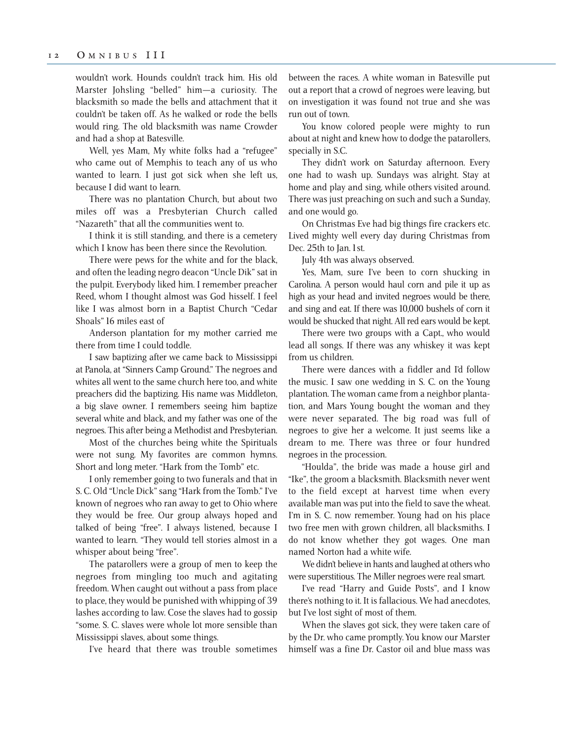wouldn't work. Hounds couldn't track him. His old Marster Johsling "belled" him—a curiosity. The blacksmith so made the bells and attachment that it couldn't be taken off. As he walked or rode the bells would ring. The old blacksmith was name Crowder and had a shop at Batesville.

Well, yes Mam, My white folks had a "refugee" who came out of Memphis to teach any of us who wanted to learn. I just got sick when she left us, because I did want to learn.

There was no plantation Church, but about two miles off was a Presbyterian Church called "Nazareth" that all the communities went to.

I think it is still standing, and there is a cemetery which I know has been there since the Revolution.

There were pews for the white and for the black, and often the leading negro deacon "Uncle Dik" sat in the pulpit. Everybody liked him. I remember preacher Reed, whom I thought almost was God hisself. I feel like I was almost born in a Baptist Church "Cedar Shoals" 16 miles east of

Anderson plantation for my mother carried me there from time I could toddle.

I saw baptizing after we came back to Mississippi at Panola, at "Sinners Camp Ground." The negroes and whites all went to the same church here too, and white preachers did the baptizing. His name was Middleton, a big slave owner. I remembers seeing him baptize several white and black, and my father was one of the negroes. This after being a Methodist and Presbyterian.

Most of the churches being white the Spirituals were not sung. My favorites are common hymns. Short and long meter. "Hark from the Tomb" etc.

I only remember going to two funerals and that in S. C. Old "Uncle Dick" sang "Hark from the Tomb." I've known of negroes who ran away to get to Ohio where they would be free. Our group always hoped and talked of being "free". I always listened, because I wanted to learn. "They would tell stories almost in a whisper about being "free".

The patarollers were a group of men to keep the negroes from mingling too much and agitating freedom. When caught out without a pass from place to place, they would be punished with whipping of 39 lashes according to law. Cose the slaves had to gossip "some. S. C. slaves were whole lot more sensible than Mississippi slaves, about some things.

I've heard that there was trouble sometimes

between the races. A white woman in Batesville put out a report that a crowd of negroes were leaving, but on investigation it was found not true and she was run out of town.

You know colored people were mighty to run about at night and knew how to dodge the patarollers, specially in S.C.

They didn't work on Saturday afternoon. Every one had to wash up. Sundays was alright. Stay at home and play and sing, while others visited around. There was just preaching on such and such a Sunday, and one would go.

On Christmas Eve had big things fire crackers etc. Lived mighty well every day during Christmas from Dec. 25th to Jan. 1st.

July 4th was always observed.

Yes, Mam, sure I've been to corn shucking in Carolina. A person would haul corn and pile it up as high as your head and invited negroes would be there, and sing and eat. If there was 10,000 bushels of corn it would be shucked that night. All red ears would be kept.

There were two groups with a Capt., who would lead all songs. If there was any whiskey it was kept from us children.

There were dances with a fiddler and I'd follow the music. I saw one wedding in S. C. on the Young plantation. The woman came from a neighbor plantation, and Mars Young bought the woman and they were never separated. The big road was full of negroes to give her a welcome. It just seems like a dream to me. There was three or four hundred negroes in the procession.

"Houlda", the bride was made a house girl and "Ike", the groom a blacksmith. Blacksmith never went to the field except at harvest time when every available man was put into the field to save the wheat. I'm in S. C. now remember. Young had on his place two free men with grown children, all blacksmiths. I do not know whether they got wages. One man named Norton had a white wife.

We didn't believe in hants and laughed at others who were superstitious. The Miller negroes were real smart.

I've read "Harry and Guide Posts", and I know there's nothing to it. It is fallacious. We had anecdotes, but I've lost sight of most of them.

When the slaves got sick, they were taken care of by the Dr. who came promptly. You know our Marster himself was a fine Dr. Castor oil and blue mass was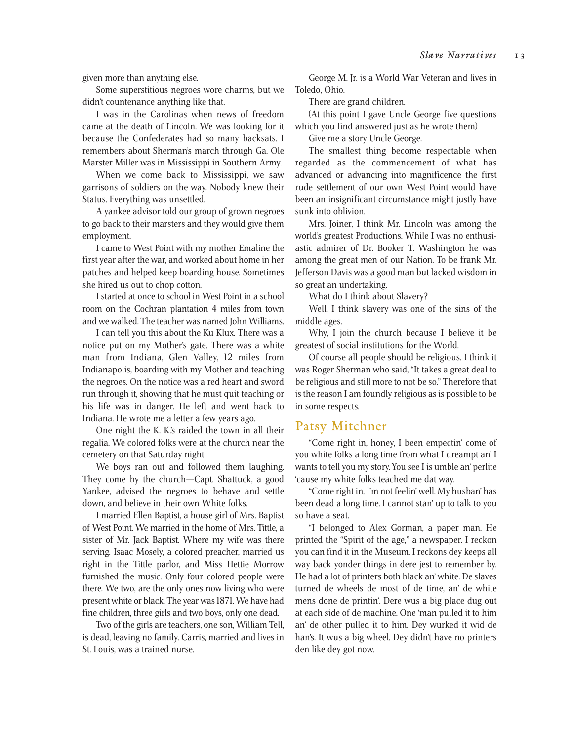given more than anything else.

Some superstitious negroes wore charms, but we didn't countenance anything like that.

I was in the Carolinas when news of freedom came at the death of Lincoln. We was looking for it because the Confederates had so many backsats. I remembers about Sherman's march through Ga. Ole Marster Miller was in Mississippi in Southern Army.

When we come back to Mississippi, we saw garrisons of soldiers on the way. Nobody knew their Status. Everything was unsettled.

A yankee advisor told our group of grown negroes to go back to their marsters and they would give them employment.

I came to West Point with my mother Emaline the first year after the war, and worked about home in her patches and helped keep boarding house. Sometimes she hired us out to chop cotton.

I started at once to school in West Point in a school room on the Cochran plantation 4 miles from town and we walked. The teacher was named John Williams.

I can tell you this about the Ku Klux. There was a notice put on my Mother's gate. There was a white man from Indiana, Glen Valley, 12 miles from Indianapolis, boarding with my Mother and teaching the negroes. On the notice was a red heart and sword run through it, showing that he must quit teaching or his life was in danger. He left and went back to Indiana. He wrote me a letter a few years ago.

One night the K. K.'s raided the town in all their regalia. We colored folks were at the church near the cemetery on that Saturday night.

We boys ran out and followed them laughing. They come by the church—Capt. Shattuck, a good Yankee, advised the negroes to behave and settle down, and believe in their own White folks.

I married Ellen Baptist, a house girl of Mrs. Baptist of West Point. We married in the home of Mrs. Tittle, a sister of Mr. Jack Baptist. Where my wife was there serving. Isaac Mosely, a colored preacher, married us right in the Tittle parlor, and Miss Hettie Morrow furnished the music. Only four colored people were there. We two, are the only ones now living who were present white or black. The year was 1871. We have had fine children, three girls and two boys, only one dead.

Two of the girls are teachers, one son, William Tell, is dead, leaving no family. Carris, married and lives in St. Louis, was a trained nurse.

George M. Jr. is a World War Veteran and lives in Toledo, Ohio.

There are grand children.

(At this point I gave Uncle George five questions which you find answered just as he wrote them)

Give me a story Uncle George.

The smallest thing become respectable when regarded as the commencement of what has advanced or advancing into magnificence the first rude settlement of our own West Point would have been an insignificant circumstance might justly have sunk into oblivion.

Mrs. Joiner, I think Mr. Lincoln was among the world's greatest Productions. While I was no enthusiastic admirer of Dr. Booker T. Washington he was among the great men of our Nation. To be frank Mr. Jefferson Davis was a good man but lacked wisdom in so great an undertaking.

What do I think about Slavery?

Well, I think slavery was one of the sins of the middle ages.

Why, I join the church because I believe it be greatest of social institutions for the World.

Of course all people should be religious. I think it was Roger Sherman who said, "It takes a great deal to be religious and still more to not be so." Therefore that is the reason I am foundly religious as is possible to be in some respects.

## Patsy Mitchner

"Come right in, honey, I been empectin' come of you white folks a long time from what I dreampt an' I wants to tell you my story. You see I is umble an' perlite 'cause my white folks teached me dat way.

"Come right in, I'm not feelin' well. My husban' has been dead a long time. I cannot stan' up to talk to you so have a seat.

"I belonged to Alex Gorman, a paper man. He printed the "Spirit of the age," a newspaper. I reckon you can find it in the Museum. I reckons dey keeps all way back yonder things in dere jest to remember by. He had a lot of printers both black an' white. De slaves turned de wheels de most of de time, an' de white mens done de printin'. Dere wus a big place dug out at each side of de machine. One 'man pulled it to him an' de other pulled it to him. Dey wurked it wid de han's. It wus a big wheel. Dey didn't have no printers den like dey got now.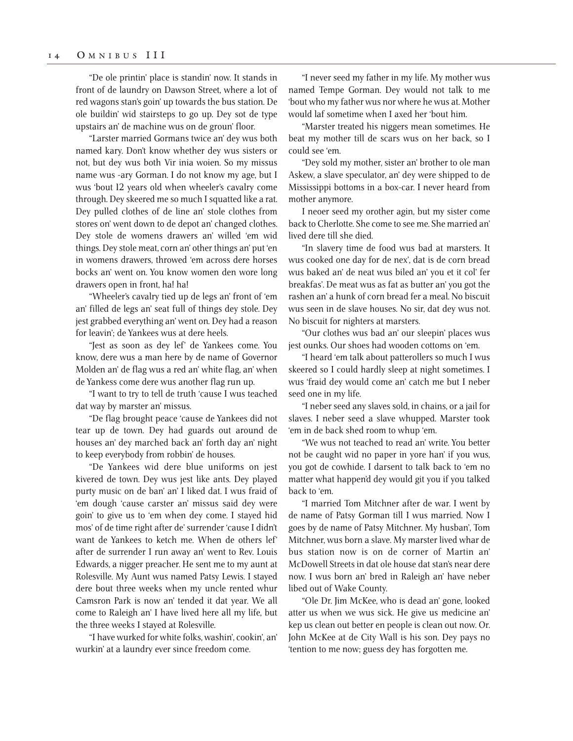"De ole printin' place is standin' now. It stands in front of de laundry on Dawson Street, where a lot of red wagons stan's goin' up towards the bus station. De ole buildin' wid stairsteps to go up. Dey sot de type upstairs an' de machine wus on de groun' floor.

"Larster married Gormans twice an' dey wus both named kary. Don't know whether dey wus sisters or not, but dey wus both Vir inia woien. So my missus name wus -ary Gorman. I do not know my age, but I wus 'bout 12 years old when wheeler's cavalry come through. Dey skeered me so much I squatted like a rat. Dey pulled clothes of de line an' stole clothes from stores on' went down to de depot an' changed clothes. Dey stole de womens drawers an' willed 'em wid things. Dey stole meat, corn an' other things an' put 'en in womens drawers, throwed 'em across dere horses bocks an' went on. You know women den wore long drawers open in front, ha! ha!

"Wheeler's cavalry tied up de legs an' front of 'em an' filled de legs an' seat full of things dey stole. Dey jest grabbed everything an' went on. Dey had a reason for leavin'; de Yankees wus at dere heels.

"Jest as soon as dey lef' de Yankees come. You know, dere wus a man here by de name of Governor Molden an' de flag wus a red an' white flag, an' when de Yankess come dere wus another flag run up.

"I want to try to tell de truth 'cause I wus teached dat way by marster an' missus.

"De flag brought peace 'cause de Yankees did not tear up de town. Dey had guards out around de houses an' dey marched back an' forth day an' night to keep everybody from robbin' de houses.

"De Yankees wid dere blue uniforms on jest kivered de town. Dey wus jest like ants. Dey played purty music on de ban' an' I liked dat. I wus fraid of 'em dough 'cause carster an' missus said dey were goin' to give us to 'em when dey come. I stayed hid mos' of de time right after de' surrender 'cause I didn't want de Yankees to ketch me. When de others lef' after de surrender I run away an' went to Rev. Louis Edwards, a nigger preacher. He sent me to my aunt at Rolesville. My Aunt wus named Patsy Lewis. I stayed dere bout three weeks when my uncle rented whur Camsron Park is now an' tended it dat year. We all come to Raleigh an' I have lived here all my life, but the three weeks I stayed at Rolesville.

"I have wurked for white folks, washin', cookin', an' wurkin' at a laundry ever since freedom come.

"I never seed my father in my life. My mother wus named Tempe Gorman. Dey would not talk to me 'bout who my father wus nor where he wus at. Mother would laf sometime when I axed her 'bout him.

"Marster treated his niggers mean sometimes. He beat my mother till de scars wus on her back, so I could see 'em.

"Dey sold my mother, sister an' brother to ole man Askew, a slave speculator, an' dey were shipped to de Mississippi bottoms in a box-car. I never heard from mother anymore.

I neoer seed my orother agin, but my sister come back to Cherlotte. She come to see me. She married an' lived dere till she died.

"In slavery time de food wus bad at marsters. It wus cooked one day for de nex', dat is de corn bread wus baked an' de neat wus biled an' you et it col' fer breakfas'. De meat wus as fat as butter an' you got the rashen an' a hunk of corn bread fer a meal. No biscuit wus seen in de slave houses. No sir, dat dey wus not. No biscuit for nighters at marsters.

"Our clothes wus bad an' our sleepin' places wus jest ounks. Our shoes had wooden cottoms on 'em.

"I heard 'em talk about patterollers so much I wus skeered so I could hardly sleep at night sometimes. I wus 'fraid dey would come an' catch me but I neber seed one in my life.

"I neber seed any slaves sold, in chains, or a jail for slaves. I neber seed a slave whupped. Marster took 'em in de back shed room to whup 'em.

"We wus not teached to read an' write. You better not be caught wid no paper in yore han' if you wus, you got de cowhide. I darsent to talk back to 'em no matter what happen'd dey would git you if you talked back to 'em.

"I married Tom Mitchner after de war. I went by de name of Patsy Gorman till I wus married. Now I goes by de name of Patsy Mitchner. My husban', Tom Mitchner, wus born a slave. My marster lived whar de bus station now is on de corner of Martin an' McDowell Streets in dat ole house dat stan's near dere now. I wus born an' bred in Raleigh an' have neber libed out of Wake County.

"Ole Dr. Jim McKee, who is dead an' gone, looked atter us when we wus sick. He give us medicine an' kep us clean out better en people is clean out now. Or. John McKee at de City Wall is his son. Dey pays no 'tention to me now; guess dey has forgotten me.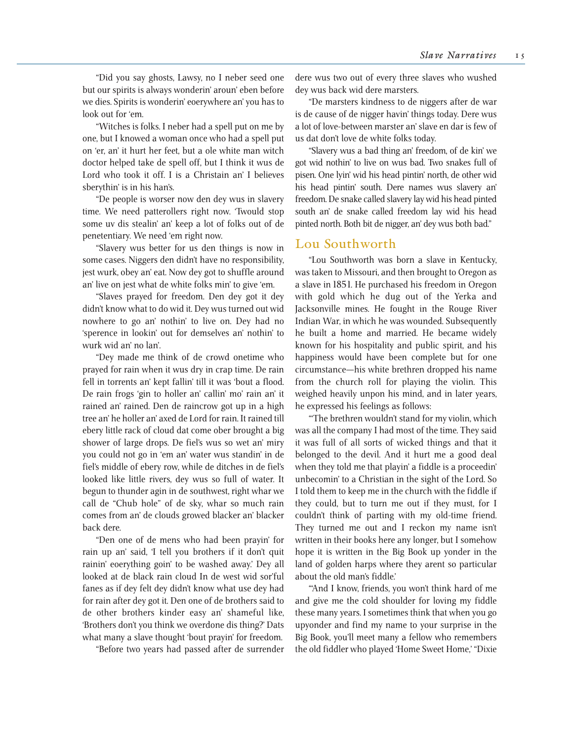"Witches is folks. I neber had a spell put on me by one, but I knowed a woman once who had a spell put on 'er, an' it hurt her feet, but a ole white man witch doctor helped take de spell off, but I think it wus de Lord who took it off. I is a Christain an' I believes sberythin' is in his han's.

"De people is worser now den dey wus in slavery time. We need patterollers right now. 'Twould stop some uv dis stealin' an' keep a lot of folks out of de penetentiary. We need 'em right now.

"Slavery wus better for us den things is now in some cases. Niggers den didn't have no responsibility, jest wurk, obey an' eat. Now dey got to shuffle around an' live on jest what de white folks min' to give 'em.

"Slaves prayed for freedom. Den dey got it dey didn't know what to do wid it. Dey wus turned out wid nowhere to go an' nothin' to live on. Dey had no 'sperence in lookin' out for demselves an' nothin' to wurk wid an' no lan'.

"Dey made me think of de crowd onetime who prayed for rain when it wus dry in crap time. De rain fell in torrents an' kept fallin' till it was 'bout a flood. De rain frogs 'gin to holler an' callin' mo' rain an' it rained an' rained. Den de raincrow got up in a high tree an' he holler an' axed de Lord for rain. It rained till ebery little rack of cloud dat come ober brought a big shower of large drops. De fiel's wus so wet an' miry you could not go in 'em an' water wus standin' in de fiel's middle of ebery row, while de ditches in de fiel's looked like little rivers, dey wus so full of water. It begun to thunder agin in de southwest, right whar we call de "Chub hole" of de sky, whar so much rain comes from an' de clouds growed blacker an' blacker back dere.

"Den one of de mens who had been prayin' for rain up an' said, 'I tell you brothers if it don't quit rainin' eoerything goin' to be washed away.' Dey all looked at de black rain cloud In de west wid sor'ful fanes as if dey felt dey didn't know what use dey had for rain after dey got it. Den one of de brothers said to de other brothers kinder easy an' shameful like, 'Brothers don't you think we overdone dis thing?' Dats what many a slave thought 'bout prayin' for freedom.

"Before two years had passed after de surrender

dere wus two out of every three slaves who wushed dey wus back wid dere marsters.

"De marsters kindness to de niggers after de war is de cause of de nigger havin' things today. Dere wus a lot of love-between marster an' slave en dar is few of us dat don't love de white folks today.

"Slavery wus a bad thing an' freedom, of de kin' we got wid nothin' to live on wus bad. Two snakes full of pisen. One lyin' wid his head pintin' north, de other wid his head pintin' south. Dere names wus slavery an' freedom. De snake called slavery lay wid his head pinted south an' de snake called freedom lay wid his head pinted north. Both bit de nigger, an' dey wus both bad."

#### Lou Southworth

"Lou Southworth was born a slave in Kentucky, was taken to Missouri, and then brought to Oregon as a slave in 1851. He purchased his freedom in Oregon with gold which he dug out of the Yerka and Jacksonville mines. He fought in the Rouge River Indian War, in which he was wounded. Subsequently he built a home and married. He became widely known for his hospitality and public spirit, and his happiness would have been complete but for one circumstance—his white brethren dropped his name from the church roll for playing the violin. This weighed heavily unpon his mind, and in later years, he expressed his feelings as follows:

"'The brethren wouldn't stand for my violin, which was all the company I had most of the time. They said it was full of all sorts of wicked things and that it belonged to the devil. And it hurt me a good deal when they told me that playin' a fiddle is a proceedin' unbecomin' to a Christian in the sight of the Lord. So I told them to keep me in the church with the fiddle if they could, but to turn me out if they must, for I couldn't think of parting with my old-time friend. They turned me out and I reckon my name isn't written in their books here any longer, but I somehow hope it is written in the Big Book up yonder in the land of golden harps where they arent so particular about the old man's fiddle.'

"And I know, friends, you won't think hard of me and give me the cold shoulder for loving my fiddle these many years. I sometimes think that when you go upyonder and find my name to your surprise in the Big Book, you'll meet many a fellow who remembers the old fiddler who played 'Home Sweet Home,' "Dixie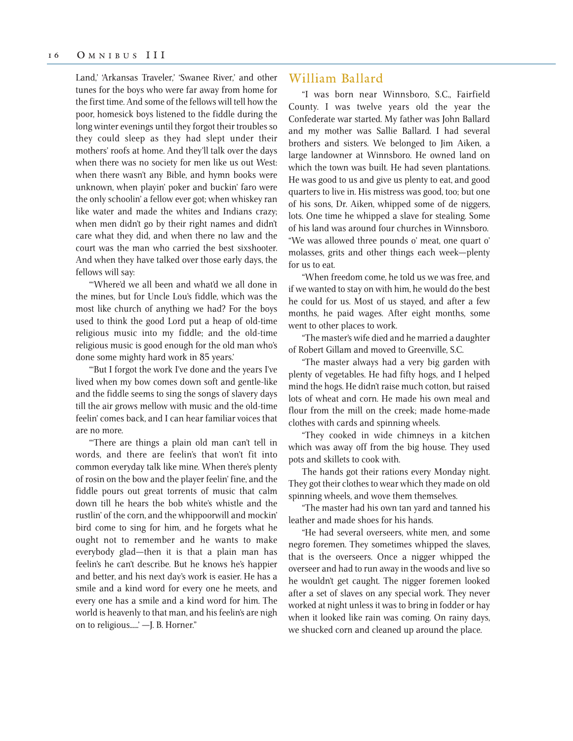Land,' 'Arkansas Traveler,' 'Swanee River,' and other tunes for the boys who were far away from home for the first time. And some of the fellows will tell how the poor, homesick boys listened to the fiddle during the long winter evenings until they forgot their troubles so they could sleep as they had slept under their mothers' roofs at home. And they'll talk over the days when there was no society for men like us out West: when there wasn't any Bible, and hymn books were unknown, when playin' poker and buckin' faro were the only schoolin' a fellow ever got; when whiskey ran like water and made the whites and Indians crazy; when men didn't go by their right names and didn't care what they did, and when there no law and the court was the man who carried the best sixshooter. And when they have talked over those early days, the fellows will say:

"'Where'd we all been and what'd we all done in the mines, but for Uncle Lou's fiddle, which was the most like church of anything we had? For the boys used to think the good Lord put a heap of old-time religious music into my fiddle; and the old-time religious music is good enough for the old man who's done some mighty hard work in 85 years.'

"'But I forgot the work I've done and the years I've lived when my bow comes down soft and gentle-like and the fiddle seems to sing the songs of slavery days till the air grows mellow with music and the old-time feelin' comes back, and I can hear familiar voices that are no more.

"'There are things a plain old man can't tell in words, and there are feelin's that won't fit into common everyday talk like mine. When there's plenty of rosin on the bow and the player feelin' fine, and the fiddle pours out great torrents of music that calm down till he hears the bob white's whistle and the rustlin' of the corn, and the whippoorwill and mockin' bird come to sing for him, and he forgets what he ought not to remember and he wants to make everybody glad—then it is that a plain man has feelin's he can't describe. But he knows he's happier and better, and his next day's work is easier. He has a smile and a kind word for every one he meets, and every one has a smile and a kind word for him. The world is heavenly to that man, and his feelin's are nigh on to religious......' —J. B. Horner."

#### William Ballard

"I was born near Winnsboro, S.C., Fairfield County. I was twelve years old the year the Confederate war started. My father was John Ballard and my mother was Sallie Ballard. I had several brothers and sisters. We belonged to Jim Aiken, a large landowner at Winnsboro. He owned land on which the town was built. He had seven plantations. He was good to us and give us plenty to eat, and good quarters to live in. His mistress was good, too; but one of his sons, Dr. Aiken, whipped some of de niggers, lots. One time he whipped a slave for stealing. Some of his land was around four churches in Winnsboro. "We was allowed three pounds o' meat, one quart o' molasses, grits and other things each week—plenty for us to eat.

"When freedom come, he told us we was free, and if we wanted to stay on with him, he would do the best he could for us. Most of us stayed, and after a few months, he paid wages. After eight months, some went to other places to work.

"The master's wife died and he married a daughter of Robert Gillam and moved to Greenville, S.C.

"The master always had a very big garden with plenty of vegetables. He had fifty hogs, and I helped mind the hogs. He didn't raise much cotton, but raised lots of wheat and corn. He made his own meal and flour from the mill on the creek; made home-made clothes with cards and spinning wheels.

"They cooked in wide chimneys in a kitchen which was away off from the big house. They used pots and skillets to cook with.

The hands got their rations every Monday night. They got their clothes to wear which they made on old spinning wheels, and wove them themselves.

"The master had his own tan yard and tanned his leather and made shoes for his hands.

"He had several overseers, white men, and some negro foremen. They sometimes whipped the slaves, that is the overseers. Once a nigger whipped the overseer and had to run away in the woods and live so he wouldn't get caught. The nigger foremen looked after a set of slaves on any special work. They never worked at night unless it was to bring in fodder or hay when it looked like rain was coming. On rainy days, we shucked corn and cleaned up around the place.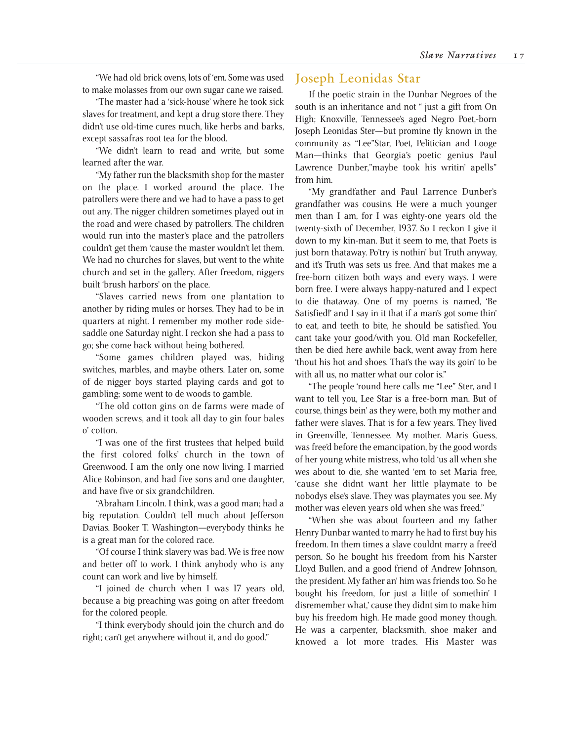"We had old brick ovens, lots of 'em. Some was used to make molasses from our own sugar cane we raised.

"The master had a 'sick-house' where he took sick slaves for treatment, and kept a drug store there. They didn't use old-time cures much, like herbs and barks, except sassafras root tea for the blood.

"We didn't learn to read and write, but some learned after the war.

"My father run the blacksmith shop for the master on the place. I worked around the place. The patrollers were there and we had to have a pass to get out any. The nigger children sometimes played out in the road and were chased by patrollers. The children would run into the master's place and the patrollers couldn't get them 'cause the master wouldn't let them. We had no churches for slaves, but went to the white church and set in the gallery. After freedom, niggers built 'brush harbors' on the place.

"Slaves carried news from one plantation to another by riding mules or horses. They had to be in quarters at night. I remember my mother rode sidesaddle one Saturday night. I reckon she had a pass to go; she come back without being bothered.

"Some games children played was, hiding switches, marbles, and maybe others. Later on, some of de nigger boys started playing cards and got to gambling; some went to de woods to gamble.

"The old cotton gins on de farms were made of wooden screws, and it took all day to gin four bales o' cotton.

"I was one of the first trustees that helped build the first colored folks' church in the town of Greenwood. I am the only one now living. I married Alice Robinson, and had five sons and one daughter, and have five or six grandchildren.

"Abraham Lincoln. I think, was a good man; had a big reputation. Couldn't tell much about Jefferson Davias. Booker T. Washington—everybody thinks he is a great man for the colored race.

"Of course I think slavery was bad. We is free now and better off to work. I think anybody who is any count can work and live by himself.

"I joined de church when I was 17 years old, because a big preaching was going on after freedom for the colored people.

"I think everybody should join the church and do right; can't get anywhere without it, and do good."

## Joseph Leonidas Star

If the poetic strain in the Dunbar Negroes of the south is an inheritance and not " just a gift from On High; Knoxville, Tennessee's aged Negro Poet,-born Joseph Leonidas Ster—but promine tly known in the community as "Lee"Star, Poet, Pelitician and Looge Man—thinks that Georgia's poetic genius Paul Lawrence Dunber,"maybe took his writin' apells" from him.

"My grandfather and Paul Larrence Dunber's grandfather was cousins. He were a much younger men than I am, for I was eighty-one years old the twenty-sixth of December, 1937. So I reckon I give it down to my kin-man. But it seem to me, that Poets is just born thataway. Po'try is nothin' but Truth anyway, and it's Truth was sets us free. And that makes me a free-born citizen both ways and every ways. I were born free. I were always happy-natured and I expect to die thataway. One of my poems is named, 'Be Satisfied!' and I say in it that if a man's got some thin' to eat, and teeth to bite, he should be satisfied. You cant take your good/with you. Old man Rockefeller, then be died here awhile back, went away from here 'thout his hot and shoes. That's the way its goin' to be with all us, no matter what our color is."

"The people 'round here calls me "Lee" Ster, and I want to tell you, Lee Star is a free-born man. But of course, things bein' as they were, both my mother and father were slaves. That is for a few years. They lived in Greenville, Tennessee. My mother. Maris Guess, was free'd before the emancipation, by the good words of her young white mistress, who told 'us all when she wes about to die, she wanted 'em to set Maria free, 'cause she didnt want her little playmate to be nobodys else's slave. They was playmates you see. My mother was eleven years old when she was freed."

"When she was about fourteen and my father Henry Dunbar wanted to marry he had to first buy his freedom. In them times a slave couldnt marry a free'd person. So he bought his freedom from his Narster Lloyd Bullen, and a good friend of Andrew Johnson, the president. My father an' him was friends too. So he bought his freedom, for just a little of somethin' I disremember what,' cause they didnt sim to make him buy his freedom high. He made good money though. He was a carpenter, blacksmith, shoe maker and knowed a lot more trades. His Master was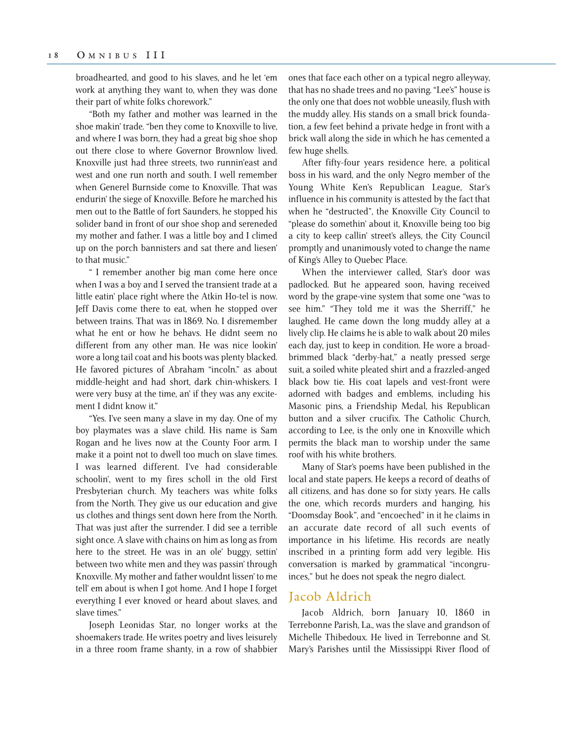broadhearted, and good to his slaves, and he let 'em work at anything they want to, when they was done their part of white folks chorework."

"Both my father and mother was learned in the shoe makin' trade. "ben they come to Knoxville to live, and where I was born, they had a great big shoe shop out there close to where Governor Brownlow lived. Knoxville just had three streets, two runnin'east and west and one run north and south. I well remember when Generel Burnside come to Knoxville. That was endurin' the siege of Knoxville. Before he marched his men out to the Battle of fort Saunders, he stopped his solider band in front of our shoe shop and sereneded my mother and father. I was a little boy and I climed up on the porch bannisters and sat there and liesen' to that music."

" I remember another big man come here once when I was a boy and I served the transient trade at a little eatin' place right where the Atkin Ho-tel is now. Jeff Davis come there to eat, when he stopped over between trains. That was in 1869. No. I disremember what he ent or how he behavs. He didnt seem no different from any other man. He was nice lookin' wore a long tail coat and his boots was plenty blacked. He favored pictures of Abraham "incoln." as about middle-height and had short, dark chin-whiskers. I were very busy at the time, an' if they was any excitement I didnt know it."

"Yes. I've seen many a slave in my day. One of my boy playmates was a slave child. His name is Sam Rogan and he lives now at the County Foor arm. I make it a point not to dwell too much on slave times. I was learned different. I've had considerable schoolin', went to my fires scholl in the old First Presbyterian church. My teachers was white folks from the North. They give us our education and give us clothes and things sent down here from the North. That was just after the surrender. I did see a terrible sight once. A slave with chains on him as long as from here to the street. He was in an ole' buggy, settin' between two white men and they was passin' through Knoxville. My mother and father wouldnt lissen' to me tell' em about is when I got home. And I hope I forget everything I ever knoved or heard about slaves, and slave times."

Joseph Leonidas Star, no longer works at the shoemakers trade. He writes poetry and lives leisurely in a three room frame shanty, in a row of shabbier ones that face each other on a typical negro alleyway, that has no shade trees and no paving. "Lee's" house is the only one that does not wobble uneasily, flush with the muddy alley. His stands on a small brick foundation, a few feet behind a private hedge in front with a brick wall along the side in which he has cemented a few huge shells.

After fifty-four years residence here, a political boss in his ward, and the only Negro member of the Young White Ken's Republican League, Star's influence in his community is attested by the fact that when he "destructed", the Knoxville City Council to "please do somethin' about it, Knoxville being too big a city to keep callin' street's alleys, the City Council promptly and unanimously voted to change the name of King's Alley to Quebec Place.

When the interviewer called, Star's door was padlocked. But he appeared soon, having received word by the grape-vine system that some one "was to see him." "They told me it was the Sherriff," he laughed. He came down the long muddy alley at a lively clip. He claims he is able to walk about 20 miles each day, just to keep in condition. He wore a broadbrimmed black "derby-hat," a neatly pressed serge suit, a soiled white pleated shirt and a frazzled-anged black bow tie. His coat lapels and vest-front were adorned with badges and emblems, including his Masonic pins, a Friendship Medal, his Republican button and a silver crucifix. The Catholic Church, according to Lee, is the only one in Knoxville which permits the black man to worship under the same roof with his white brothers.

Many of Star's poems have been published in the local and state papers. He keeps a record of deaths of all citizens, and has done so for sixty years. He calls the one, which records murders and hanging, his "Doomsday Book", and "encoeched" in it he claims in an accurate date record of all such events of importance in his lifetime. His records are neatly inscribed in a printing form add very legible. His conversation is marked by grammatical "incongruinces," but he does not speak the negro dialect.

## Jacob Aldrich

Jacob Aldrich, born January 10, 1860 in Terrebonne Parish, La., was the slave and grandson of Michelle Thibedoux. He lived in Terrebonne and St. Mary's Parishes until the Mississippi River flood of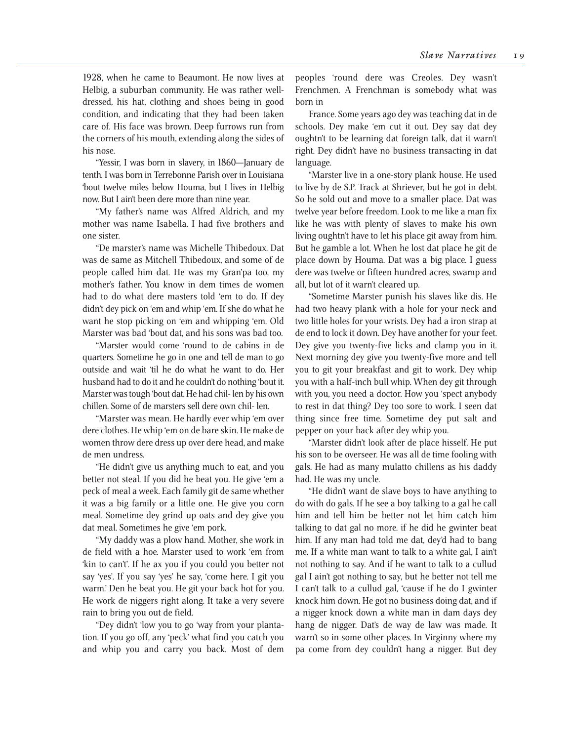1928, when he came to Beaumont. He now lives at Helbig, a suburban community. He was rather welldressed, his hat, clothing and shoes being in good condition, and indicating that they had been taken care of. His face was brown. Deep furrows run from the corners of his mouth, extending along the sides of his nose.

"Yessir, I was born in slavery, in 1860—January de tenth. I was born in Terrebonne Parish over in Louisiana 'bout twelve miles below Houma, but I lives in Helbig now. But I ain't been dere more than nine year.

"My father's name was Alfred Aldrich, and my mother was name Isabella. I had five brothers and one sister.

"De marster's name was Michelle Thibedoux. Dat was de same as Mitchell Thibedoux, and some of de people called him dat. He was my Gran'pa too, my mother's father. You know in dem times de women had to do what dere masters told 'em to do. If dey didn't dey pick on 'em and whip 'em. If she do what he want he stop picking on 'em and whipping 'em. Old Marster was bad 'bout dat, and his sons was bad too.

"Marster would come 'round to de cabins in de quarters. Sometime he go in one and tell de man to go outside and wait 'til he do what he want to do. Her husband had to do it and he couldn't do nothing 'bout it. Marster was tough 'bout dat. He had chil- len by his own chillen. Some of de marsters sell dere own chil- len.

"Marster was mean. He hardly ever whip 'em over dere clothes. He whip 'em on de bare skin. He make de women throw dere dress up over dere head, and make de men undress.

"He didn't give us anything much to eat, and you better not steal. If you did he beat you. He give 'em a peck of meal a week. Each family git de same whether it was a big family or a little one. He give you corn meal. Sometime dey grind up oats and dey give you dat meal. Sometimes he give 'em pork.

"My daddy was a plow hand. Mother, she work in de field with a hoe. Marster used to work 'em from 'kin to can't'. If he ax you if you could you better not say 'yes'. If you say 'yes' he say, 'come here. I git you warm.' Den he beat you. He git your back hot for you. He work de niggers right along. It take a very severe rain to bring you out de field.

"Dey didn't 'low you to go 'way from your plantation. If you go off, any 'peck' what find you catch you and whip you and carry you back. Most of dem peoples 'round dere was Creoles. Dey wasn't Frenchmen. A Frenchman is somebody what was born in

France. Some years ago dey was teaching dat in de schools. Dey make 'em cut it out. Dey say dat dey oughtn't to be learning dat foreign talk, dat it warn't right. Dey didn't have no business transacting in dat language.

"Marster live in a one-story plank house. He used to live by de S.P. Track at Shriever, but he got in debt. So he sold out and move to a smaller place. Dat was twelve year before freedom. Look to me like a man fix like he was with plenty of slaves to make his own living oughtn't have to let his place git away from him. But he gamble a lot. When he lost dat place he git de place down by Houma. Dat was a big place. I guess dere was twelve or fifteen hundred acres, swamp and all, but lot of it warn't cleared up.

"Sometime Marster punish his slaves like dis. He had two heavy plank with a hole for your neck and two little holes for your wrists. Dey had a iron strap at de end to lock it down. Dey have another for your feet. Dey give you twenty-five licks and clamp you in it. Next morning dey give you twenty-five more and tell you to git your breakfast and git to work. Dey whip you with a half-inch bull whip. When dey git through with you, you need a doctor. How you 'spect anybody to rest in dat thing? Dey too sore to work. I seen dat thing since free time. Sometime dey put salt and pepper on your back after dey whip you.

"Marster didn't look after de place hisself. He put his son to be overseer. He was all de time fooling with gals. He had as many mulatto chillens as his daddy had. He was my uncle.

"He didn't want de slave boys to have anything to do with do gals. If he see a boy talking to a gal he call him and tell him be better not let him catch him talking to dat gal no more. if he did he gwinter beat him. If any man had told me dat, dey'd had to bang me. If a white man want to talk to a white gal, I ain't not nothing to say. And if he want to talk to a cullud gal I ain't got nothing to say, but he better not tell me I can't talk to a cullud gal, 'cause if he do I gwinter knock him down. He got no business doing dat, and if a nigger knock down a white man in dam days dey hang de nigger. Dat's de way de law was made. It warn't so in some other places. In Virginny where my pa come from dey couldn't hang a nigger. But dey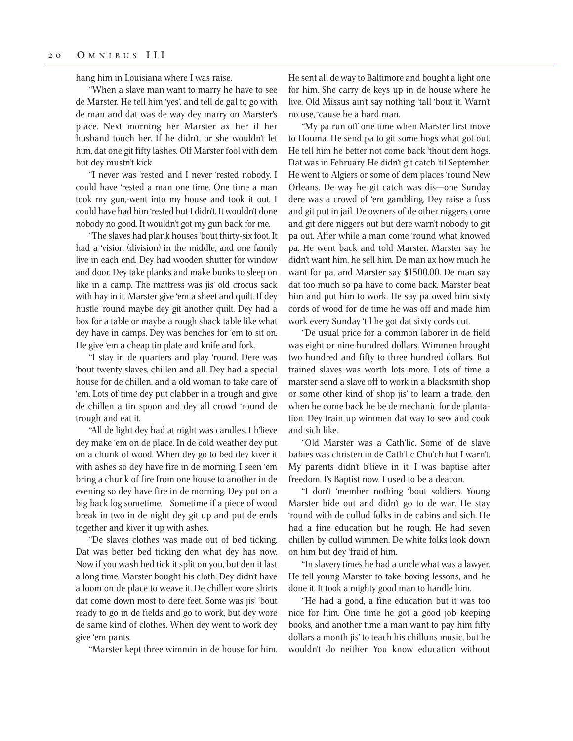hang him in Louisiana where I was raise.

"When a slave man want to marry he have to see de Marster. He tell him 'yes'. and tell de gal to go with de man and dat was de way dey marry on Marster's place. Next morning her Marster ax her if her husband touch her. If he didn't, or she wouldn't let him, dat one git fifty lashes. Olf Marster fool with dem but dey mustn't kick.

"I never was 'rested. and I never 'rested nobody. I could have 'rested a man one time. One time a man took my gun,-went into my house and took it out. I could have had him 'rested but I didn't. It wouldn't done nobody no good. It wouldn't got my gun back for me.

"The slaves had plank houses 'bout thirty-six foot. It had a 'vision (division) in the middle, and one family live in each end. Dey had wooden shutter for window and door. Dey take planks and make bunks to sleep on like in a camp. The mattress was jis' old crocus sack with hay in it. Marster give 'em a sheet and quilt. If dey hustle 'round maybe dey git another quilt. Dey had a box for a table or maybe a rough shack table like what dey have in camps. Dey was benches for 'em to sit on. He give 'em a cheap tin plate and knife and fork.

"I stay in de quarters and play 'round. Dere was 'bout twenty slaves, chillen and all. Dey had a special house for de chillen, and a old woman to take care of 'em. Lots of time dey put clabber in a trough and give de chillen a tin spoon and dey all crowd 'round de trough and eat it.

"All de light dey had at night was candles. I b'lieve dey make 'em on de place. In de cold weather dey put on a chunk of wood. When dey go to bed dey kiver it with ashes so dey have fire in de morning. I seen 'em bring a chunk of fire from one house to another in de evening so dey have fire in de morning. Dey put on a big back log sometime. Sometime if a piece of wood break in two in de night dey git up and put de ends together and kiver it up with ashes.

"De slaves clothes was made out of bed ticking. Dat was better bed ticking den what dey has now. Now if you wash bed tick it split on you, but den it last a long time. Marster bought his cloth. Dey didn't have a loom on de place to weave it. De chillen wore shirts dat come down most to dere feet. Some was jis' 'bout ready to go in de fields and go to work, but dey wore de same kind of clothes. When dey went to work dey give 'em pants.

"Marster kept three wimmin in de house for him.

He sent all de way to Baltimore and bought a light one for him. She carry de keys up in de house where he live. Old Missus ain't say nothing 'tall 'bout it. Warn't no use, 'cause he a hard man.

"My pa run off one time when Marster first move to Houma. He send pa to git some hogs what got out. He tell him he better not come back 'thout dem hogs. Dat was in February. He didn't git catch 'til September. He went to Algiers or some of dem places 'round New Orleans. De way he git catch was dis—one Sunday dere was a crowd of 'em gambling. Dey raise a fuss and git put in jail. De owners of de other niggers come and git dere niggers out but dere warn't nobody to git pa out. After while a man come 'round what knowed pa. He went back and told Marster. Marster say he didn't want him, he sell him. De man ax how much he want for pa, and Marster say \$1500.00. De man say dat too much so pa have to come back. Marster beat him and put him to work. He say pa owed him sixty cords of wood for de time he was off and made him work every Sunday 'til he got dat sixty cords cut.

"De usual price for a common laborer in de field was eight or nine hundred dollars. Wimmen brought two hundred and fifty to three hundred dollars. But trained slaves was worth lots more. Lots of time a marster send a slave off to work in a blacksmith shop or some other kind of shop jis' to learn a trade, den when he come back he be de mechanic for de plantation. Dey train up wimmen dat way to sew and cook and sich like.

"Old Marster was a Cath'lic. Some of de slave babies was christen in de Cath'lic Chu'ch but I warn't. My parents didn't b'lieve in it. I was baptise after freedom. I's Baptist now. I used to be a deacon.

"I don't 'member nothing 'bout soldiers. Young Marster hide out and didn't go to de war. He stay 'round with de cullud folks in de cabins and sich. He had a fine education but he rough. He had seven chillen by cullud wimmen. De white folks look down on him but dey 'fraid of him.

"In slavery times he had a uncle what was a lawyer. He tell young Marster to take boxing lessons, and he done it. It took a mighty good man to handle him.

"He had a good, a fine education but it was too nice for him. One time he got a good job keeping books, and another time a man want to pay him fifty dollars a month jis' to teach his chilluns music, but he wouldn't do neither. You know education without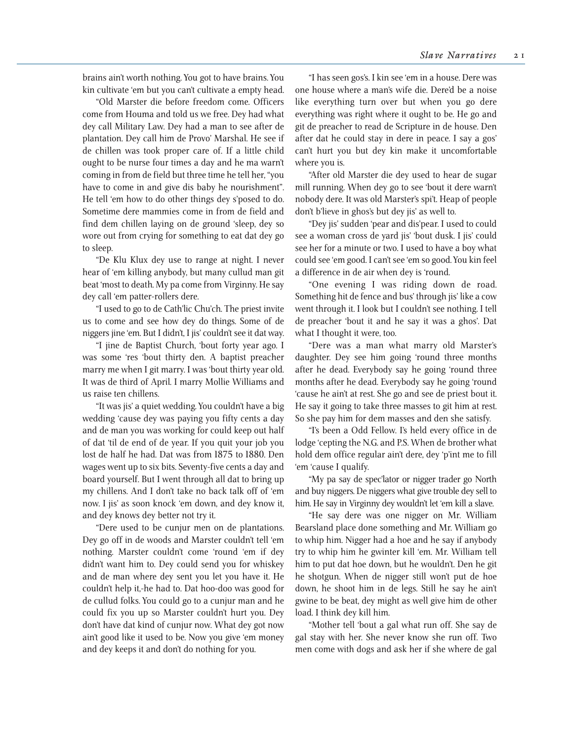brains ain't worth nothing. You got to have brains. You kin cultivate 'em but you can't cultivate a empty head.

"Old Marster die before freedom come. Officers come from Houma and told us we free. Dey had what dey call Military Law. Dey had a man to see after de plantation. Dey call him de Provo' Marshal. He see if de chillen was took proper care of. If a little child ought to be nurse four times a day and he ma warn't coming in from de field but three time he tell her, "you have to come in and give dis baby he nourishment". He tell 'em how to do other things dey s'posed to do. Sometime dere mammies come in from de field and find dem chillen laying on de ground 'sleep, dey so wore out from crying for something to eat dat dey go to sleep.

"De Klu Klux dey use to range at night. I never hear of 'em killing anybody, but many cullud man git beat 'most to death. My pa come from Virginny. He say dey call 'em patter-rollers dere.

"I used to go to de Cath'lic Chu'ch. The priest invite us to come and see how dey do things. Some of de niggers jine 'em. But I didn't, I jis' couldn't see it dat way.

"I jine de Baptist Church, 'bout forty year ago. I was some 'res 'bout thirty den. A baptist preacher marry me when I git marry. I was 'bout thirty year old. It was de third of April. I marry Mollie Williams and us raise ten chillens.

"It was jis' a quiet wedding. You couldn't have a big wedding 'cause dey was paying you fifty cents a day and de man you was working for could keep out half of dat 'til de end of de year. If you quit your job you lost de half he had. Dat was from 1875 to 1880. Den wages went up to six bits. Seventy-five cents a day and board yourself. But I went through all dat to bring up my chillens. And I don't take no back talk off of 'em now. I jis' as soon knock 'em down, and dey know it, and dey knows dey better not try it.

"Dere used to be cunjur men on de plantations. Dey go off in de woods and Marster couldn't tell 'em nothing. Marster couldn't come 'round 'em if dey didn't want him to. Dey could send you for whiskey and de man where dey sent you let you have it. He couldn't help it,-he had to. Dat hoo-doo was good for de cullud folks. You could go to a cunjur man and he could fix you up so Marster couldn't hurt you. Dey don't have dat kind of cunjur now. What dey got now ain't good like it used to be. Now you give 'em money and dey keeps it and don't do nothing for you.

"I has seen gos's. I kin see 'em in a house. Dere was one house where a man's wife die. Dere'd be a noise like everything turn over but when you go dere everything was right where it ought to be. He go and git de preacher to read de Scripture in de house. Den after dat he could stay in dere in peace. I say a gos' can't hurt you but dey kin make it uncomfortable where you is.

"After old Marster die dey used to hear de sugar mill running. When dey go to see 'bout it dere warn't nobody dere. It was old Marster's spi't. Heap of people don't b'lieve in ghos's but dey jis' as well to.

"Dey jis' sudden 'pear and dis'pear. I used to could see a woman cross de yard jis' 'bout dusk. I jis' could see her for a minute or two. I used to have a boy what could see 'em good. I can't see 'em so good. You kin feel a difference in de air when dey is 'round.

"One evening I was riding down de road. Something hit de fence and bus' through jis' like a cow went through it. I look but I couldn't see nothing. I tell de preacher 'bout it and he say it was a ghos'. Dat what I thought it were, too.

"Dere was a man what marry old Marster's daughter. Dey see him going 'round three months after he dead. Everybody say he going 'round three months after he dead. Everybody say he going 'round 'cause he ain't at rest. She go and see de priest bout it. He say it going to take three masses to git him at rest. So she pay him for dem masses and den she satisfy.

"I's been a Odd Fellow. I's held every office in de lodge 'cepting the N.G. and P.S. When de brother what hold dem office regular ain't dere, dey 'p'int me to fill 'em 'cause I qualify.

"My pa say de spec'lator or nigger trader go North and buy niggers. De niggers what give trouble dey sell to him. He say in Virginny dey wouldn't let 'em kill a slave.

"He say dere was one nigger on Mr. William Bearsland place done something and Mr. William go to whip him. Nigger had a hoe and he say if anybody try to whip him he gwinter kill 'em. Mr. William tell him to put dat hoe down, but he wouldn't. Den he git he shotgun. When de nigger still won't put de hoe down, he shoot him in de legs. Still he say he ain't gwine to be beat, dey might as well give him de other load. I think dey kill him.

"Mother tell 'bout a gal what run off. She say de gal stay with her. She never know she run off. Two men come with dogs and ask her if she where de gal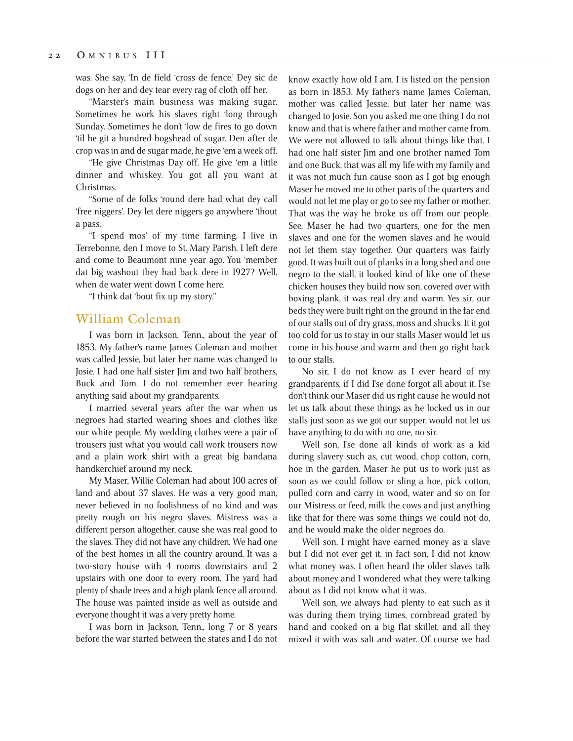was. She say, 'In de field 'cross de fence.' Dey sic de dogs on her and dey tear every rag of cloth off her.

"Marster's main business was making sugar. Sometimes he work his slaves right 'long through Sunday. Sometimes he don't 'low de fires to go down 'til he git a hundred hogshead of sugar. Den after de crop was in and de sugar made, he give 'em a week off.

"He give Christmas Day off. He give 'em a little dinner and whiskey. You got all you want at Christmas.

"Some of de folks 'round dere had what dey call 'free niggers'. Dey let dere niggers go anywhere 'thout a pass.

"I spend mos' of my time farming. I live in Terrebonne, den I move to St. Mary Parish. I left dere and come to Beaumont nine year ago. You 'member dat big washout they had back dere in 1927? Well, when de water went down I come here.

"I think dat 'bout fix up my story."

## William Coleman

I was born in Jackson, Tenn., about the year of 1853. My father's name James Coleman and mother was called Jessie, but later her name was changed to Josie. I had one half sister Jim and two half brothers, Buck and Tom. I do not remember ever hearing anything said about my grandparents.

I married several years after the war when us negroes had started wearing shoes and clothes like our white people. My wedding clothes were a pair of trousers just what you would call work trousers now and a plain work shirt with a great big bandana handkerchief around my neck.

My Maser, Willie Coleman had about 100 acres of land and about 37 slaves. He was a very good man, never believed in no foolishness of no kind and was pretty rough on his negro slaves. Mistress was a different person altogether, cause she was real good to the slaves. They did not have any children. We had one of the best homes in all the country around. It was a two-story house with 4 rooms downstairs and 2 upstairs with one door to every room. The yard had plenty of shade trees and a high plank fence all around. The house was painted inside as well as outside and everyone thought it was a very pretty home.

I was born in Jackson, Tenn., long 7 or 8 years before the war started between the states and I do not

know exactly how old I am. I is listed on the pension as born in 1853. My father's name James Coleman, mother was called Jessie, but later her name was changed to Josie. Son you asked me one thing I do not know and that is where father and mother came from. We were not allowed to talk about things like that. I had one half sister Jim and one brother named Tom and one Buck, that was all my life with my family and it was not much fun cause soon as I got big enough Maser he moved me to other parts of the quarters and would not let me play or go to see my father or mother. That was the way he broke us off from our people. See, Maser he had two quarters, one for the men slaves and one for the women slaves and he would not let them stay together. Our quarters was fairly good. It was built out of planks in a long shed and one negro to the stall, it looked kind of like one of these chicken houses they build now son, covered over with boxing plank, it was real dry and warm. Yes sir, our beds they were built right on the ground in the far end of our stalls out of dry grass, moss and shucks. It it got too cold for us to stay in our stalls Maser would let us come in his house and warm and then go right back to our stalls.

No sir, I do not know as I ever heard of my grandparents, if I did I'se done forgot all about it. I'se don't think our Maser did us right cause he would not let us talk about these things as he locked us in our stalls just soon as we got our supper, would not let us have anything to do with no one, no sir.

Well son, I'se done all kinds of work as a kid during slavery such as, cut wood, chop cotton, corn, hoe in the garden. Maser he put us to work just as soon as we could follow or sling a hoe, pick cotton, pulled corn and carry in wood, water and so on for our Mistress or feed, milk the cows and just anything like that for there was some things we could not do, and he would make the older negroes do.

Well son, I might have earned money as a slave but I did not ever get it, in fact son, I did not know what money was. I often heard the older slaves talk about money and I wondered what they were talking about as I did not know what it was.

Well son, we always had plenty to eat such as it was during them trying times, cornbread grated by hand and cooked on a big flat skillet, and all they mixed it with was salt and water. Of course we had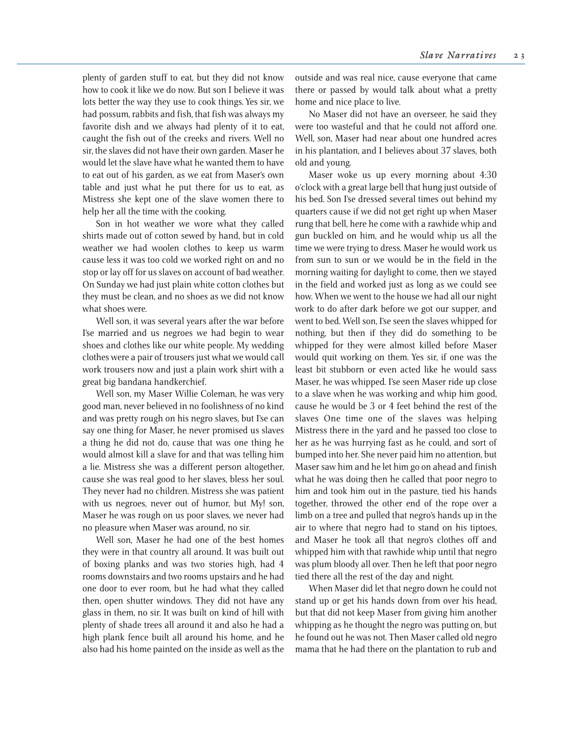plenty of garden stuff to eat, but they did not know how to cook it like we do now. But son I believe it was lots better the way they use to cook things. Yes sir, we had possum, rabbits and fish, that fish was always my favorite dish and we always had plenty of it to eat, caught the fish out of the creeks and rivers. Well no sir, the slaves did not have their own garden. Maser he would let the slave have what he wanted them to have to eat out of his garden, as we eat from Maser's own table and just what he put there for us to eat, as Mistress she kept one of the slave women there to help her all the time with the cooking.

Son in hot weather we wore what they called shirts made out of cotton sewed by hand, but in cold weather we had woolen clothes to keep us warm cause less it was too cold we worked right on and no stop or lay off for us slaves on account of bad weather. On Sunday we had just plain white cotton clothes but they must be clean, and no shoes as we did not know what shoes were.

Well son, it was several years after the war before I'se married and us negroes we had begin to wear shoes and clothes like our white people. My wedding clothes were a pair of trousers just what we would call work trousers now and just a plain work shirt with a great big bandana handkerchief.

Well son, my Maser Willie Coleman, he was very good man, never believed in no foolishness of no kind and was pretty rough on his negro slaves, but I'se can say one thing for Maser, he never promised us slaves a thing he did not do, cause that was one thing he would almost kill a slave for and that was telling him a lie. Mistress she was a different person altogether, cause she was real good to her slaves, bless her soul. They never had no children. Mistress she was patient with us negroes, never out of humor, but My! son, Maser he was rough on us poor slaves, we never had no pleasure when Maser was around, no sir.

Well son, Maser he had one of the best homes they were in that country all around. It was built out of boxing planks and was two stories high, had 4 rooms downstairs and two rooms upstairs and he had one door to ever room, but he had what they called then, open shutter windows. They did not have any glass in them, no sir. It was built on kind of hill with plenty of shade trees all around it and also he had a high plank fence built all around his home, and he also had his home painted on the inside as well as the outside and was real nice, cause everyone that came there or passed by would talk about what a pretty home and nice place to live.

No Maser did not have an overseer, he said they were too wasteful and that he could not afford one. Well, son, Maser had near about one hundred acres in his plantation, and I believes about 37 slaves, both old and young.

Maser woke us up every morning about 4:30 o'clock with a great large bell that hung just outside of his bed. Son I'se dressed several times out behind my quarters cause if we did not get right up when Maser rung that bell, here he come with a rawhide whip and gun buckled on him, and he would whip us all the time we were trying to dress. Maser he would work us from sun to sun or we would be in the field in the morning waiting for daylight to come, then we stayed in the field and worked just as long as we could see how. When we went to the house we had all our night work to do after dark before we got our supper, and went to bed. Well son, I'se seen the slaves whipped for nothing, but then if they did do something to be whipped for they were almost killed before Maser would quit working on them. Yes sir, if one was the least bit stubborn or even acted like he would sass Maser, he was whipped. I'se seen Maser ride up close to a slave when he was working and whip him good, cause he would be 3 or 4 feet behind the rest of the slaves One time one of the slaves was helping Mistress there in the yard and he passed too close to her as he was hurrying fast as he could, and sort of bumped into her. She never paid him no attention, but Maser saw him and he let him go on ahead and finish what he was doing then he called that poor negro to him and took him out in the pasture, tied his hands together, throwed the other end of the rope over a limb on a tree and pulled that negro's hands up in the air to where that negro had to stand on his tiptoes, and Maser he took all that negro's clothes off and whipped him with that rawhide whip until that negro was plum bloody all over. Then he left that poor negro tied there all the rest of the day and night.

When Maser did let that negro down he could not stand up or get his hands down from over his head, but that did not keep Maser from giving him another whipping as he thought the negro was putting on, but he found out he was not. Then Maser called old negro mama that he had there on the plantation to rub and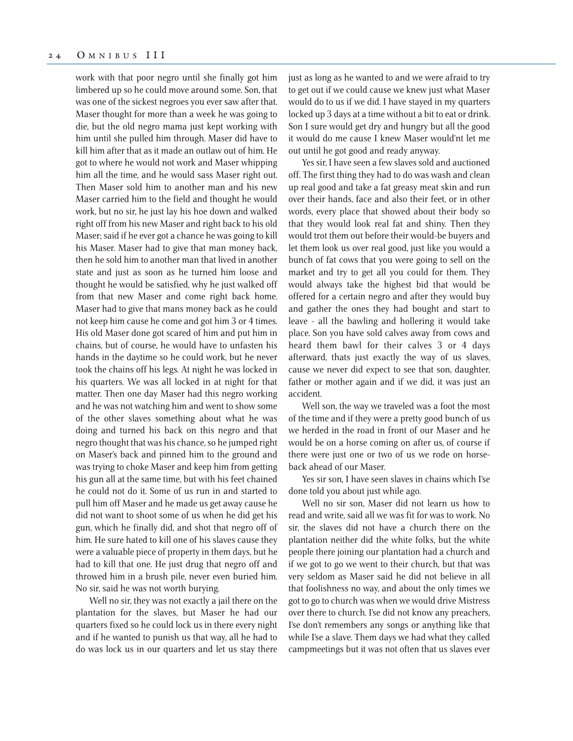work with that poor negro until she finally got him limbered up so he could move around some. Son, that was one of the sickest negroes you ever saw after that. Maser thought for more than a week he was going to die, but the old negro mama just kept working with him until she pulled him through. Maser did have to kill him after that as it made an outlaw out of him. He got to where he would not work and Maser whipping him all the time, and he would sass Maser right out. Then Maser sold him to another man and his new Maser carried him to the field and thought he would work, but no sir, he just lay his hoe down and walked right off from his new Maser and right back to his old Maser; said if he ever got a chance he was going to kill his Maser. Maser had to give that man money back, then he sold him to another man that lived in another state and just as soon as he turned him loose and thought he would be satisfied, why he just walked off from that new Maser and come right back home. Maser had to give that mans money back as he could not keep him cause he come and got him 3 or 4 times. His old Maser done got scared of him and put him in chains, but of course, he would have to unfasten his hands in the daytime so he could work, but he never took the chains off his legs. At night he was locked in his quarters. We was all locked in at night for that matter. Then one day Maser had this negro working and he was not watching him and went to show some of the other slaves something about what he was doing and turned his back on this negro and that negro thought that was his chance, so he jumped right on Maser's back and pinned him to the ground and was trying to choke Maser and keep him from getting his gun all at the same time, but with his feet chained he could not do it. Some of us run in and started to pull him off Maser and he made us get away cause he did not want to shoot some of us when he did get his gun, which he finally did, and shot that negro off of him. He sure hated to kill one of his slaves cause they were a valuable piece of property in them days, but he had to kill that one. He just drug that negro off and throwed him in a brush pile, never even buried him. No sir, said he was not worth burying.

Well no sir, they was not exactly a jail there on the plantation for the slaves, but Maser he had our quarters fixed so he could lock us in there every night and if he wanted to punish us that way, all he had to do was lock us in our quarters and let us stay there just as long as he wanted to and we were afraid to try to get out if we could cause we knew just what Maser would do to us if we did. I have stayed in my quarters locked up 3 days at a time without a bit to eat or drink. Son I sure would get dry and hungry but all the good it would do me cause I knew Maser would'nt let me out until he got good and ready anyway.

Yes sir, I have seen a few slaves sold and auctioned off. The first thing they had to do was wash and clean up real good and take a fat greasy meat skin and run over their hands, face and also their feet, or in other words, every place that showed about their body so that they would look real fat and shiny. Then they would trot them out before their would-be buyers and let them look us over real good, just like you would a bunch of fat cows that you were going to sell on the market and try to get all you could for them. They would always take the highest bid that would be offered for a certain negro and after they would buy and gather the ones they had bought and start to leave - all the bawling and hollering it would take place. Son you have sold calves away from cows and heard them bawl for their calves 3 or 4 days afterward, thats just exactly the way of us slaves, cause we never did expect to see that son, daughter, father or mother again and if we did, it was just an accident.

Well son, the way we traveled was a foot the most of the time and if they were a pretty good bunch of us we herded in the road in front of our Maser and he would be on a horse coming on after us, of course if there were just one or two of us we rode on horseback ahead of our Maser.

Yes sir son, I have seen slaves in chains which I'se done told you about just while ago.

Well no sir son, Maser did not learn us how to read and write, said all we was fit for was to work. No sir, the slaves did not have a church there on the plantation neither did the white folks, but the white people there joining our plantation had a church and if we got to go we went to their church, but that was very seldom as Maser said he did not believe in all that foolishness no way, and about the only times we got to go to church was when we would drive Mistress over there to church. I'se did not know any preachers, I'se don't remembers any songs or anything like that while I'se a slave. Them days we had what they called campmeetings but it was not often that us slaves ever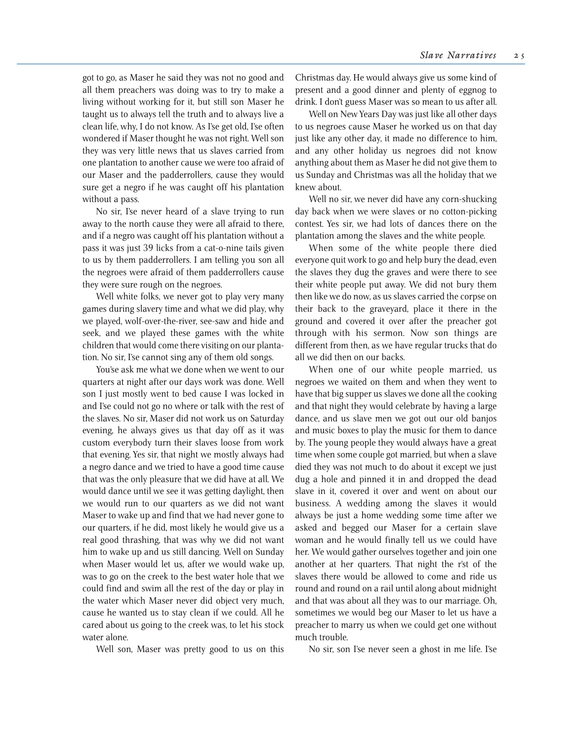got to go, as Maser he said they was not no good and all them preachers was doing was to try to make a living without working for it, but still son Maser he taught us to always tell the truth and to always live a clean life, why, I do not know. As I'se get old, I'se often wondered if Maser thought he was not right. Well son they was very little news that us slaves carried from one plantation to another cause we were too afraid of our Maser and the padderrollers, cause they would sure get a negro if he was caught off his plantation without a pass.

No sir, I'se never heard of a slave trying to run away to the north cause they were all afraid to there, and if a negro was caught off his plantation without a pass it was just 39 licks from a cat-o-nine tails given to us by them padderrollers. I am telling you son all the negroes were afraid of them padderrollers cause they were sure rough on the negroes.

Well white folks, we never got to play very many games during slavery time and what we did play, why we played, wolf-over-the-river, see-saw and hide and seek, and we played these games with the white children that would come there visiting on our plantation. No sir, I'se cannot sing any of them old songs.

You'se ask me what we done when we went to our quarters at night after our days work was done. Well son I just mostly went to bed cause I was locked in and I'se could not go no where or talk with the rest of the slaves. No sir, Maser did not work us on Saturday evening, he always gives us that day off as it was custom everybody turn their slaves loose from work that evening. Yes sir, that night we mostly always had a negro dance and we tried to have a good time cause that was the only pleasure that we did have at all. We would dance until we see it was getting daylight, then we would run to our quarters as we did not want Maser to wake up and find that we had never gone to our quarters, if he did, most likely he would give us a real good thrashing, that was why we did not want him to wake up and us still dancing. Well on Sunday when Maser would let us, after we would wake up, was to go on the creek to the best water hole that we could find and swim all the rest of the day or play in the water which Maser never did object very much, cause he wanted us to stay clean if we could. All he cared about us going to the creek was, to let his stock water alone.

Well son, Maser was pretty good to us on this

Christmas day. He would always give us some kind of present and a good dinner and plenty of eggnog to drink. I don't guess Maser was so mean to us after all.

Well on New Years Day was just like all other days to us negroes cause Maser he worked us on that day just like any other day, it made no difference to him, and any other holiday us negroes did not know anything about them as Maser he did not give them to us Sunday and Christmas was all the holiday that we knew about.

Well no sir, we never did have any corn-shucking day back when we were slaves or no cotton-picking contest. Yes sir, we had lots of dances there on the plantation among the slaves and the white people.

When some of the white people there died everyone quit work to go and help bury the dead, even the slaves they dug the graves and were there to see their white people put away. We did not bury them then like we do now, as us slaves carried the corpse on their back to the graveyard, place it there in the ground and covered it over after the preacher got through with his sermon. Now son things are different from then, as we have regular trucks that do all we did then on our backs.

When one of our white people married, us negroes we waited on them and when they went to have that big supper us slaves we done all the cooking and that night they would celebrate by having a large dance, and us slave men we got out our old banjos and music boxes to play the music for them to dance by. The young people they would always have a great time when some couple got married, but when a slave died they was not much to do about it except we just dug a hole and pinned it in and dropped the dead slave in it, covered it over and went on about our business. A wedding among the slaves it would always be just a home wedding some time after we asked and begged our Maser for a certain slave woman and he would finally tell us we could have her. We would gather ourselves together and join one another at her quarters. That night the r'st of the slaves there would be allowed to come and ride us round and round on a rail until along about midnight and that was about all they was to our marriage. Oh, sometimes we would beg our Maser to let us have a preacher to marry us when we could get one without much trouble.

No sir, son I'se never seen a ghost in me life. I'se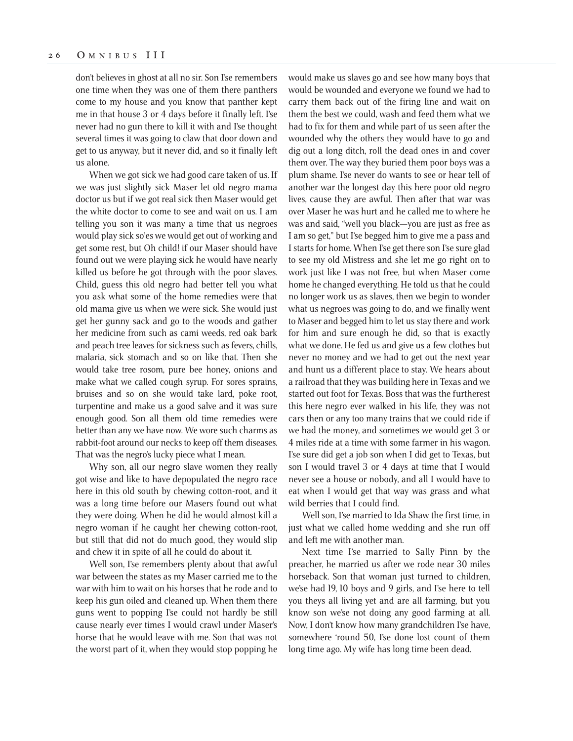don't believes in ghost at all no sir. Son I'se remembers one time when they was one of them there panthers come to my house and you know that panther kept me in that house 3 or 4 days before it finally left. I'se never had no gun there to kill it with and I'se thought several times it was going to claw that door down and get to us anyway, but it never did, and so it finally left us alone.

When we got sick we had good care taken of us. If we was just slightly sick Maser let old negro mama doctor us but if we got real sick then Maser would get the white doctor to come to see and wait on us. I am telling you son it was many a time that us negroes would play sick so'es we would get out of working and get some rest, but Oh child! if our Maser should have found out we were playing sick he would have nearly killed us before he got through with the poor slaves. Child, guess this old negro had better tell you what you ask what some of the home remedies were that old mama give us when we were sick. She would just get her gunny sack and go to the woods and gather her medicine from such as cami weeds, red oak bark and peach tree leaves for sickness such as fevers, chills, malaria, sick stomach and so on like that. Then she would take tree rosom, pure bee honey, onions and make what we called cough syrup. For sores sprains, bruises and so on she would take lard, poke root, turpentine and make us a good salve and it was sure enough good. Son all them old time remedies were better than any we have now. We wore such charms as rabbit-foot around our necks to keep off them diseases. That was the negro's lucky piece what I mean.

Why son, all our negro slave women they really got wise and like to have depopulated the negro race here in this old south by chewing cotton-root, and it was a long time before our Masers found out what they were doing. When he did he would almost kill a negro woman if he caught her chewing cotton-root, but still that did not do much good, they would slip and chew it in spite of all he could do about it.

Well son, I'se remembers plenty about that awful war between the states as my Maser carried me to the war with him to wait on his horses that he rode and to keep his gun oiled and cleaned up. When them there guns went to popping I'se could not hardly be still cause nearly ever times I would crawl under Maser's horse that he would leave with me. Son that was not the worst part of it, when they would stop popping he would make us slaves go and see how many boys that would be wounded and everyone we found we had to carry them back out of the firing line and wait on them the best we could, wash and feed them what we had to fix for them and while part of us seen after the wounded why the others they would have to go and dig out a long ditch, roll the dead ones in and cover them over. The way they buried them poor boys was a plum shame. I'se never do wants to see or hear tell of another war the longest day this here poor old negro lives, cause they are awful. Then after that war was over Maser he was hurt and he called me to where he was and said, "well you black—you are just as free as I am so get," but I'se begged him to give me a pass and I starts for home. When I'se get there son I'se sure glad to see my old Mistress and she let me go right on to work just like I was not free, but when Maser come home he changed everything. He told us that he could no longer work us as slaves, then we begin to wonder what us negroes was going to do, and we finally went to Maser and begged him to let us stay there and work for him and sure enough he did, so that is exactly what we done. He fed us and give us a few clothes but never no money and we had to get out the next year and hunt us a different place to stay. We hears about a railroad that they was building here in Texas and we started out foot for Texas. Boss that was the furtherest this here negro ever walked in his life, they was not cars then or any too many trains that we could ride if we had the money, and sometimes we would get 3 or 4 miles ride at a time with some farmer in his wagon. I'se sure did get a job son when I did get to Texas, but son I would travel 3 or 4 days at time that I would never see a house or nobody, and all I would have to eat when I would get that way was grass and what wild berries that I could find.

Well son, I'se married to Ida Shaw the first time, in just what we called home wedding and she run off and left me with another man.

Next time I'se married to Sally Pinn by the preacher, he married us after we rode near 30 miles horseback. Son that woman just turned to children, we'se had 19, 10 boys and 9 girls, and I'se here to tell you theys all living yet and are all farming, but you know son we'se not doing any good farming at all. Now, I don't know how many grandchildren I'se have, somewhere 'round 50, I'se done lost count of them long time ago. My wife has long time been dead.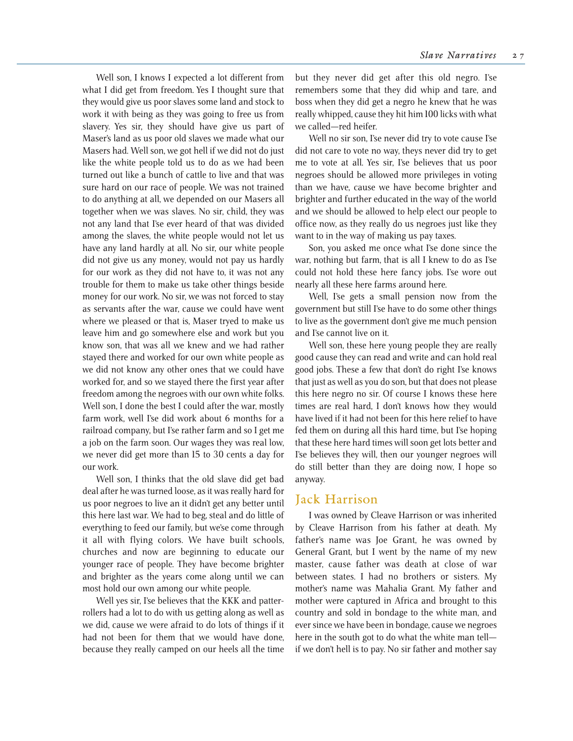Well son, I knows I expected a lot different from what I did get from freedom. Yes I thought sure that they would give us poor slaves some land and stock to work it with being as they was going to free us from slavery. Yes sir, they should have give us part of Maser's land as us poor old slaves we made what our Masers had. Well son, we got hell if we did not do just like the white people told us to do as we had been turned out like a bunch of cattle to live and that was sure hard on our race of people. We was not trained to do anything at all, we depended on our Masers all together when we was slaves. No sir, child, they was not any land that I'se ever heard of that was divided among the slaves, the white people would not let us have any land hardly at all. No sir, our white people did not give us any money, would not pay us hardly for our work as they did not have to, it was not any trouble for them to make us take other things beside money for our work. No sir, we was not forced to stay as servants after the war, cause we could have went where we pleased or that is, Maser tryed to make us leave him and go somewhere else and work but you know son, that was all we knew and we had rather stayed there and worked for our own white people as we did not know any other ones that we could have worked for, and so we stayed there the first year after freedom among the negroes with our own white folks. Well son, I done the best I could after the war, mostly farm work, well I'se did work about 6 months for a railroad company, but I'se rather farm and so I get me a job on the farm soon. Our wages they was real low, we never did get more than 15 to 30 cents a day for our work.

Well son, I thinks that the old slave did get bad deal after he was turned loose, as it was really hard for us poor negroes to live an it didn't get any better until this here last war. We had to beg, steal and do little of everything to feed our family, but we'se come through it all with flying colors. We have built schools, churches and now are beginning to educate our younger race of people. They have become brighter and brighter as the years come along until we can most hold our own among our white people.

Well yes sir, I'se believes that the KKK and patterrollers had a lot to do with us getting along as well as we did, cause we were afraid to do lots of things if it had not been for them that we would have done, because they really camped on our heels all the time

but they never did get after this old negro. I'se remembers some that they did whip and tare, and boss when they did get a negro he knew that he was really whipped, cause they hit him 100 licks with what we called—red heifer.

Well no sir son, I'se never did try to vote cause I'se did not care to vote no way, theys never did try to get me to vote at all. Yes sir, I'se believes that us poor negroes should be allowed more privileges in voting than we have, cause we have become brighter and brighter and further educated in the way of the world and we should be allowed to help elect our people to office now, as they really do us negroes just like they want to in the way of making us pay taxes.

Son, you asked me once what I'se done since the war, nothing but farm, that is all I knew to do as I'se could not hold these here fancy jobs. I'se wore out nearly all these here farms around here.

Well, I'se gets a small pension now from the government but still I'se have to do some other things to live as the government don't give me much pension and I'se cannot live on it.

Well son, these here young people they are really good cause they can read and write and can hold real good jobs. These a few that don't do right I'se knows that just as well as you do son, but that does not please this here negro no sir. Of course I knows these here times are real hard, I don't knows how they would have lived if it had not been for this here relief to have fed them on during all this hard time, but I'se hoping that these here hard times will soon get lots better and I'se believes they will, then our younger negroes will do still better than they are doing now, I hope so anyway.

#### Jack Harrison

I was owned by Cleave Harrison or was inherited by Cleave Harrison from his father at death. My father's name was Joe Grant, he was owned by General Grant, but I went by the name of my new master, cause father was death at close of war between states. I had no brothers or sisters. My mother's name was Mahalia Grant. My father and mother were captured in Africa and brought to this country and sold in bondage to the white man, and ever since we have been in bondage, cause we negroes here in the south got to do what the white man tell if we don't hell is to pay. No sir father and mother say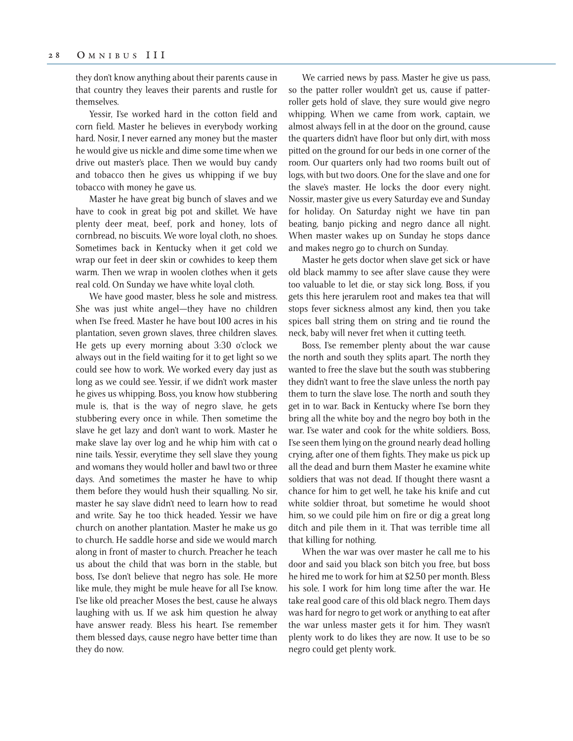they don't know anything about their parents cause in that country they leaves their parents and rustle for themselves.

Yessir, I'se worked hard in the cotton field and corn field. Master he believes in everybody working hard. Nosir, I never earned any money but the master he would give us nickle and dime some time when we drive out master's place. Then we would buy candy and tobacco then he gives us whipping if we buy tobacco with money he gave us.

Master he have great big bunch of slaves and we have to cook in great big pot and skillet. We have plenty deer meat, beef, pork and honey, lots of cornbread, no biscuits. We wore loyal cloth, no shoes. Sometimes back in Kentucky when it get cold we wrap our feet in deer skin or cowhides to keep them warm. Then we wrap in woolen clothes when it gets real cold. On Sunday we have white loyal cloth.

We have good master, bless he sole and mistress. She was just white angel—they have no children when I'se freed. Master he have bout 100 acres in his plantation, seven grown slaves, three children slaves. He gets up every morning about 3:30 o'clock we always out in the field waiting for it to get light so we could see how to work. We worked every day just as long as we could see. Yessir, if we didn't work master he gives us whipping. Boss, you know how stubbering mule is, that is the way of negro slave, he gets stubbering every once in while. Then sometime the slave he get lazy and don't want to work. Master he make slave lay over log and he whip him with cat o nine tails. Yessir, everytime they sell slave they young and womans they would holler and bawl two or three days. And sometimes the master he have to whip them before they would hush their squalling. No sir, master he say slave didn't need to learn how to read and write. Say he too thick headed. Yessir we have church on another plantation. Master he make us go to church. He saddle horse and side we would march along in front of master to church. Preacher he teach us about the child that was born in the stable, but boss, I'se don't believe that negro has sole. He more like mule, they might be mule heave for all I'se know. I'se like old preacher Moses the best, cause he always laughing with us. If we ask him question he alway have answer ready. Bless his heart. I'se remember them blessed days, cause negro have better time than they do now.

We carried news by pass. Master he give us pass, so the patter roller wouldn't get us, cause if patterroller gets hold of slave, they sure would give negro whipping. When we came from work, captain, we almost always fell in at the door on the ground, cause the quarters didn't have floor but only dirt, with moss pitted on the ground for our beds in one corner of the room. Our quarters only had two rooms built out of logs, with but two doors. One for the slave and one for the slave's master. He locks the door every night. Nossir, master give us every Saturday eve and Sunday for holiday. On Saturday night we have tin pan beating, banjo picking and negro dance all night. When master wakes up on Sunday he stops dance and makes negro go to church on Sunday.

Master he gets doctor when slave get sick or have old black mammy to see after slave cause they were too valuable to let die, or stay sick long. Boss, if you gets this here jerarulem root and makes tea that will stops fever sickness almost any kind, then you take spices ball string them on string and tie round the neck, baby will never fret when it cutting teeth.

Boss, I'se remember plenty about the war cause the north and south they splits apart. The north they wanted to free the slave but the south was stubbering they didn't want to free the slave unless the north pay them to turn the slave lose. The north and south they get in to war. Back in Kentucky where I'se born they bring all the white boy and the negro boy both in the war. I'se water and cook for the white soldiers. Boss, I'se seen them lying on the ground nearly dead holling crying, after one of them fights. They make us pick up all the dead and burn them Master he examine white soldiers that was not dead. If thought there wasnt a chance for him to get well, he take his knife and cut white soldier throat, but sometime he would shoot him, so we could pile him on fire or dig a great long ditch and pile them in it. That was terrible time all that killing for nothing.

When the war was over master he call me to his door and said you black son bitch you free, but boss he hired me to work for him at \$2.50 per month. Bless his sole. I work for him long time after the war. He take real good care of this old black negro. Them days was hard for negro to get work or anything to eat after the war unless master gets it for him. They wasn't plenty work to do likes they are now. It use to be so negro could get plenty work.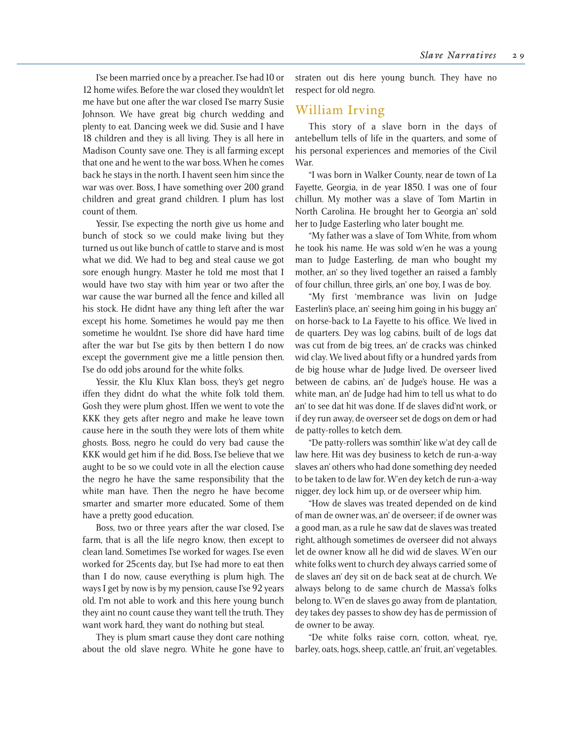I'se been married once by a preacher. I'se had 10 or 12 home wifes. Before the war closed they wouldn't let me have but one after the war closed I'se marry Susie Johnson. We have great big church wedding and plenty to eat. Dancing week we did. Susie and I have 18 children and they is all living. They is all here in Madison County save one. They is all farming except that one and he went to the war boss. When he comes back he stays in the north. I havent seen him since the war was over. Boss, I have something over 200 grand children and great grand children. I plum has lost count of them.

Yessir, I'se expecting the north give us home and bunch of stock so we could make living but they turned us out like bunch of cattle to starve and is most what we did. We had to beg and steal cause we got sore enough hungry. Master he told me most that I would have two stay with him year or two after the war cause the war burned all the fence and killed all his stock. He didnt have any thing left after the war except his home. Sometimes he would pay me then sometime he wouldnt. I'se shore did have hard time after the war but I'se gits by then bettern I do now except the government give me a little pension then. I'se do odd jobs around for the white folks.

Yessir, the Klu Klux Klan boss, they's get negro iffen they didnt do what the white folk told them. Gosh they were plum ghost. Iffen we went to vote the KKK they gets after negro and make he leave town cause here in the south they were lots of them white ghosts. Boss, negro he could do very bad cause the KKK would get him if he did. Boss, I'se believe that we aught to be so we could vote in all the election cause the negro he have the same responsibility that the white man have. Then the negro he have become smarter and smarter more educated. Some of them have a pretty good education.

Boss, two or three years after the war closed, I'se farm, that is all the life negro know, then except to clean land. Sometimes I'se worked for wages. I'se even worked for 25cents day, but I'se had more to eat then than I do now, cause everything is plum high. The ways I get by now is by my pension, cause I'se 92 years old. I'm not able to work and this here young bunch they aint no count cause they want tell the truth. They want work hard, they want do nothing but steal.

They is plum smart cause they dont care nothing about the old slave negro. White he gone have to straten out dis here young bunch. They have no respect for old negro.

# William Irving

This story of a slave born in the days of antebellum tells of life in the quarters, and some of his personal experiences and memories of the Civil War.

"I was born in Walker County, near de town of La Fayette, Georgia, in de year 1850. I was one of four chillun. My mother was a slave of Tom Martin in North Carolina. He brought her to Georgia an' sold her to Judge Easterling who later bought me.

"My father was a slave of Tom White, from whom he took his name. He was sold w'en he was a young man to Judge Easterling, de man who bought my mother, an' so they lived together an raised a fambly of four chillun, three girls, an' one boy, I was de boy.

"My first 'membrance was livin on Judge Easterlin's place, an' seeing him going in his buggy an' on horse-back to La Fayette to his office. We lived in de quarters. Dey was log cabins, built of de logs dat was cut from de big trees, an' de cracks was chinked wid clay. We lived about fifty or a hundred yards from de big house whar de Judge lived. De overseer lived between de cabins, an' de Judge's house. He was a white man, an' de Judge had him to tell us what to do an' to see dat hit was done. If de slaves did'nt work, or if dey run away, de overseer set de dogs on dem or had de patty-rolles to ketch dem.

"De patty-rollers was somthin' like w'at dey call de law here. Hit was dey business to ketch de run-a-way slaves an' others who had done something dey needed to be taken to de law for. W'en dey ketch de run-a-way nigger, dey lock him up, or de overseer whip him.

"How de slaves was treated depended on de kind of man de owner was, an' de overseer; if de owner was a good man, as a rule he saw dat de slaves was treated right, although sometimes de overseer did not always let de owner know all he did wid de slaves. W'en our white folks went to church dey always carried some of de slaves an' dey sit on de back seat at de church. We always belong to de same church de Massa's folks belong to. W'en de slaves go away from de plantation, dey takes dey passes to show dey has de permission of de owner to be away.

"De white folks raise corn, cotton, wheat, rye, barley, oats, hogs, sheep, cattle, an' fruit, an' vegetables.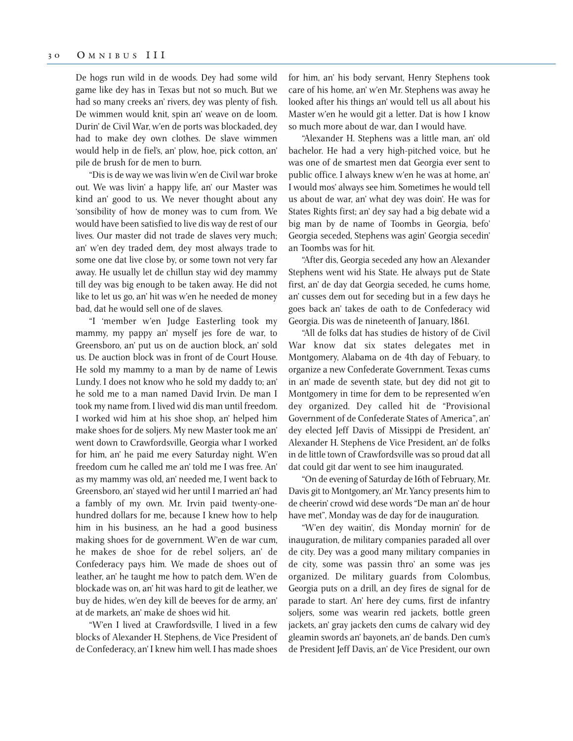De hogs run wild in de woods. Dey had some wild game like dey has in Texas but not so much. But we had so many creeks an' rivers, dey was plenty of fish. De wimmen would knit, spin an' weave on de loom. Durin' de Civil War, w'en de ports was blockaded, dey had to make dey own clothes. De slave wimmen would help in de fiel's, an' plow, hoe, pick cotton, an' pile de brush for de men to burn.

"Dis is de way we was livin w'en de Civil war broke out. We was livin' a happy life, an' our Master was kind an' good to us. We never thought about any 'sonsibility of how de money was to cum from. We would have been satisfied to live dis way de rest of our lives. Our master did not trade de slaves very much; an' w'en dey traded dem, dey most always trade to some one dat live close by, or some town not very far away. He usually let de chillun stay wid dey mammy till dey was big enough to be taken away. He did not like to let us go, an' hit was w'en he needed de money bad, dat he would sell one of de slaves.

"I 'member w'en Judge Easterling took my mammy, my pappy an' myself jes fore de war, to Greensboro, an' put us on de auction block, an' sold us. De auction block was in front of de Court House. He sold my mammy to a man by de name of Lewis Lundy. I does not know who he sold my daddy to; an' he sold me to a man named David Irvin. De man I took my name from. I lived wid dis man until freedom. I worked wid him at his shoe shop, an' helped him make shoes for de soljers. My new Master took me an' went down to Crawfordsville, Georgia whar I worked for him, an' he paid me every Saturday night. W'en freedom cum he called me an' told me I was free. An' as my mammy was old, an' needed me, I went back to Greensboro, an' stayed wid her until I married an' had a fambly of my own. Mr. Irvin paid twenty-onehundred dollars for me, because I knew how to help him in his business, an he had a good business making shoes for de government. W'en de war cum, he makes de shoe for de rebel soljers, an' de Confederacy pays him. We made de shoes out of leather, an' he taught me how to patch dem. W'en de blockade was on, an' hit was hard to git de leather, we buy de hides, w'en dey kill de beeves for de army, an' at de markets, an' make de shoes wid hit.

"W'en I lived at Crawfordsville, I lived in a few blocks of Alexander H. Stephens, de Vice President of de Confederacy, an' I knew him well. I has made shoes for him, an' his body servant, Henry Stephens took care of his home, an' w'en Mr. Stephens was away he looked after his things an' would tell us all about his Master w'en he would git a letter. Dat is how I know so much more about de war, dan I would have.

"Alexander H. Stephens was a little man, an' old bachelor. He had a very high-pitched voice, but he was one of de smartest men dat Georgia ever sent to public office. I always knew w'en he was at home, an' I would mos' always see him. Sometimes he would tell us about de war, an' what dey was doin'. He was for States Rights first; an' dey say had a big debate wid a big man by de name of Toombs in Georgia, befo' Georgia seceded, Stephens was agin' Georgia secedin' an Toombs was for hit.

"After dis, Georgia seceded any how an Alexander Stephens went wid his State. He always put de State first, an' de day dat Georgia seceded, he cums home, an' cusses dem out for seceding but in a few days he goes back an' takes de oath to de Confederacy wid Georgia. Dis was de nineteenth of January, 1861.

"All de folks dat has studies de history of de Civil War know dat six states delegates met in Montgomery, Alabama on de 4th day of Febuary, to organize a new Confederate Government. Texas cums in an' made de seventh state, but dey did not git to Montgomery in time for dem to be represented w'en dey organized. Dey called hit de "Provisional Government of de Confederate States of America", an' dey elected Jeff Davis of Missippi de President, an' Alexander H. Stephens de Vice President, an' de folks in de little town of Crawfordsville was so proud dat all dat could git dar went to see him inaugurated.

"On de evening of Saturday de 16th of February, Mr. Davis git to Montgomery, an' Mr. Yancy presents him to de cheerin' crowd wid dese words "De man an' de hour have met", Monday was de day for de inauguration.

"W'en dey waitin', dis Monday mornin' for de inauguration, de military companies paraded all over de city. Dey was a good many military companies in de city, some was passin thro' an some was jes organized. De military guards from Colombus, Georgia puts on a drill, an dey fires de signal for de parade to start. An' here dey cums, first de infantry soljers, some was wearin red jackets, bottle green jackets, an' gray jackets den cums de calvary wid dey gleamin swords an' bayonets, an' de bands. Den cum's de President Jeff Davis, an' de Vice President, our own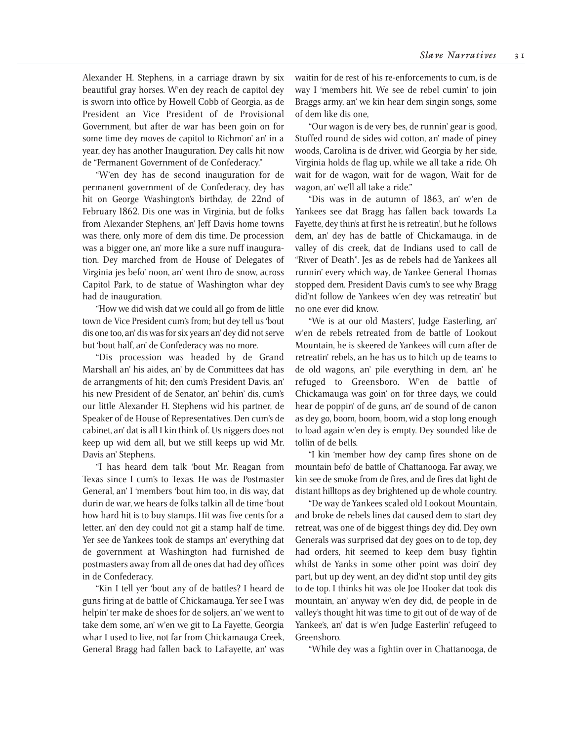Alexander H. Stephens, in a carriage drawn by six beautiful gray horses. W'en dey reach de capitol dey is sworn into office by Howell Cobb of Georgia, as de President an Vice President of de Provisional Government, but after de war has been goin on for some time dey moves de capitol to Richmon' an' in a year, dey has another Inauguration. Dey calls hit now de "Permanent Government of de Confederacy."

"W'en dey has de second inauguration for de permanent government of de Confederacy, dey has hit on George Washington's birthday, de 22nd of February 1862. Dis one was in Virginia, but de folks from Alexander Stephens, an' Jeff Davis home towns was there, only more of dem dis time. De procession was a bigger one, an' more like a sure nuff inauguration. Dey marched from de House of Delegates of Virginia jes befo' noon, an' went thro de snow, across Capitol Park, to de statue of Washington whar dey had de inauguration.

"How we did wish dat we could all go from de little town de Vice President cum's from; but dey tell us 'bout dis one too, an' dis was for six years an' dey did not serve but 'bout half, an' de Confederacy was no more.

"Dis procession was headed by de Grand Marshall an' his aides, an' by de Committees dat has de arrangments of hit; den cum's President Davis, an' his new President of de Senator, an' behin' dis, cum's our little Alexander H. Stephens wid his partner, de Speaker of de House of Representatives. Den cum's de cabinet, an' dat is all I kin think of. Us niggers does not keep up wid dem all, but we still keeps up wid Mr. Davis an' Stephens.

"I has heard dem talk 'bout Mr. Reagan from Texas since I cum's to Texas. He was de Postmaster General, an' I 'members 'bout him too, in dis way, dat durin de war, we hears de folks talkin all de time 'bout how hard hit is to buy stamps. Hit was five cents for a letter, an' den dey could not git a stamp half de time. Yer see de Yankees took de stamps an' everything dat de government at Washington had furnished de postmasters away from all de ones dat had dey offices in de Confederacy.

"Kin I tell yer 'bout any of de battles? I heard de guns firing at de battle of Chickamauga. Yer see I was helpin' ter make de shoes for de soljers, an' we went to take dem some, an' w'en we git to La Fayette, Georgia whar I used to live, not far from Chickamauga Creek, General Bragg had fallen back to LaFayette, an' was waitin for de rest of his re-enforcements to cum, is de way I 'members hit. We see de rebel cumin' to join Braggs army, an' we kin hear dem singin songs, some of dem like dis one,

"Our wagon is de very bes, de runnin' gear is good, Stuffed round de sides wid cotton, an' made of piney woods, Carolina is de driver, wid Georgia by her side, Virginia holds de flag up, while we all take a ride. Oh wait for de wagon, wait for de wagon, Wait for de wagon, an' we'll all take a ride."

"Dis was in de autumn of 1863, an' w'en de Yankees see dat Bragg has fallen back towards La Fayette, dey thin's at first he is retreatin', but he follows dem, an' dey has de battle of Chickamauga, in de valley of dis creek, dat de Indians used to call de "River of Death". Jes as de rebels had de Yankees all runnin' every which way, de Yankee General Thomas stopped dem. President Davis cum's to see why Bragg did'nt follow de Yankees w'en dey was retreatin' but no one ever did know.

"We is at our old Masters', Judge Easterling, an' w'en de rebels retreated from de battle of Lookout Mountain, he is skeered de Yankees will cum after de retreatin' rebels, an he has us to hitch up de teams to de old wagons, an' pile everything in dem, an' he refuged to Greensboro. W'en de battle of Chickamauga was goin' on for three days, we could hear de poppin' of de guns, an' de sound of de canon as dey go, boom, boom, boom, wid a stop long enough to load again w'en dey is empty. Dey sounded like de tollin of de bells.

"I kin 'member how dey camp fires shone on de mountain befo' de battle of Chattanooga. Far away, we kin see de smoke from de fires, and de fires dat light de distant hilltops as dey brightened up de whole country.

"De way de Yankees scaled old Lookout Mountain, and broke de rebels lines dat caused dem to start dey retreat, was one of de biggest things dey did. Dey own Generals was surprised dat dey goes on to de top, dey had orders, hit seemed to keep dem busy fightin whilst de Yanks in some other point was doin' dey part, but up dey went, an dey did'nt stop until dey gits to de top. I thinks hit was ole Joe Hooker dat took dis mountain, an' anyway w'en dey did, de people in de valley's thought hit was time to git out of de way of de Yankee's, an' dat is w'en Judge Easterlin' refugeed to Greensboro.

"While dey was a fightin over in Chattanooga, de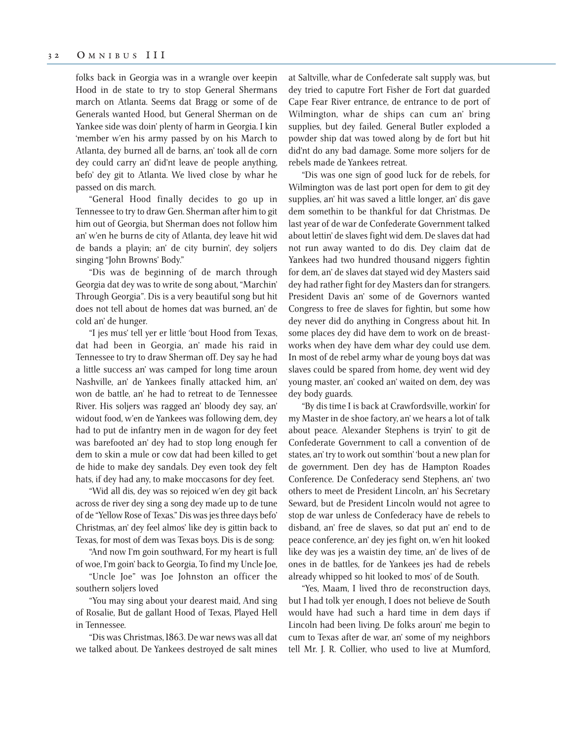folks back in Georgia was in a wrangle over keepin Hood in de state to try to stop General Shermans march on Atlanta. Seems dat Bragg or some of de Generals wanted Hood, but General Sherman on de Yankee side was doin' plenty of harm in Georgia. I kin 'member w'en his army passed by on his March to Atlanta, dey burned all de barns, an' took all de corn dey could carry an' did'nt leave de people anything, befo' dey git to Atlanta. We lived close by whar he passed on dis march.

"General Hood finally decides to go up in Tennessee to try to draw Gen. Sherman after him to git him out of Georgia, but Sherman does not follow him an' w'en he burns de city of Atlanta, dey leave hit wid de bands a playin; an' de city burnin', dey soljers singing "John Browns' Body."

"Dis was de beginning of de march through Georgia dat dey was to write de song about, "Marchin' Through Georgia". Dis is a very beautiful song but hit does not tell about de homes dat was burned, an' de cold an' de hunger.

"I jes mus' tell yer er little 'bout Hood from Texas, dat had been in Georgia, an' made his raid in Tennessee to try to draw Sherman off. Dey say he had a little success an' was camped for long time aroun Nashville, an' de Yankees finally attacked him, an' won de battle, an' he had to retreat to de Tennessee River. His soljers was ragged an' bloody dey say, an' widout food, w'en de Yankees was following dem, dey had to put de infantry men in de wagon for dey feet was barefooted an' dey had to stop long enough fer dem to skin a mule or cow dat had been killed to get de hide to make dey sandals. Dey even took dey felt hats, if dey had any, to make moccasons for dey feet.

"Wid all dis, dey was so rejoiced w'en dey git back across de river dey sing a song dey made up to de tune of de "Yellow Rose of Texas." Dis was jes three days befo' Christmas, an' dey feel almos' like dey is gittin back to Texas, for most of dem was Texas boys. Dis is de song:

"And now I'm goin southward, For my heart is full of woe, I'm goin' back to Georgia, To find my Uncle Joe,

"Uncle Joe" was Joe Johnston an officer the southern soljers loved

"You may sing about your dearest maid, And sing of Rosalie, But de gallant Hood of Texas, Played Hell in Tennessee.

"Dis was Christmas, 1863. De war news was all dat we talked about. De Yankees destroyed de salt mines at Saltville, whar de Confederate salt supply was, but dey tried to caputre Fort Fisher de Fort dat guarded Cape Fear River entrance, de entrance to de port of Wilmington, whar de ships can cum an' bring supplies, but dey failed. General Butler exploded a powder ship dat was towed along by de fort but hit did'nt do any bad damage. Some more soljers for de rebels made de Yankees retreat.

"Dis was one sign of good luck for de rebels, for Wilmington was de last port open for dem to git dey supplies, an' hit was saved a little longer, an' dis gave dem somethin to be thankful for dat Christmas. De last year of de war de Confederate Government talked about lettin' de slaves fight wid dem. De slaves dat had not run away wanted to do dis. Dey claim dat de Yankees had two hundred thousand niggers fightin for dem, an' de slaves dat stayed wid dey Masters said dey had rather fight for dey Masters dan for strangers. President Davis an' some of de Governors wanted Congress to free de slaves for fightin, but some how dey never did do anything in Congress about hit. In some places dey did have dem to work on de breastworks when dey have dem whar dey could use dem. In most of de rebel army whar de young boys dat was slaves could be spared from home, dey went wid dey young master, an' cooked an' waited on dem, dey was dey body guards.

"By dis time I is back at Crawfordsville, workin' for my Master in de shoe factory, an' we hears a lot of talk about peace. Alexander Stephens is tryin' to git de Confederate Government to call a convention of de states, an' try to work out somthin' 'bout a new plan for de government. Den dey has de Hampton Roades Conference. De Confederacy send Stephens, an' two others to meet de President Lincoln, an' his Secretary Seward, but de President Lincoln would not agree to stop de war unless de Confederacy have de rebels to disband, an' free de slaves, so dat put an' end to de peace conference, an' dey jes fight on, w'en hit looked like dey was jes a waistin dey time, an' de lives of de ones in de battles, for de Yankees jes had de rebels already whipped so hit looked to mos' of de South.

"Yes, Maam, I lived thro de reconstruction days, but I had tolk yer enough, I does not believe de South would have had such a hard time in dem days if Lincoln had been living. De folks aroun' me begin to cum to Texas after de war, an' some of my neighbors tell Mr. J. R. Collier, who used to live at Mumford,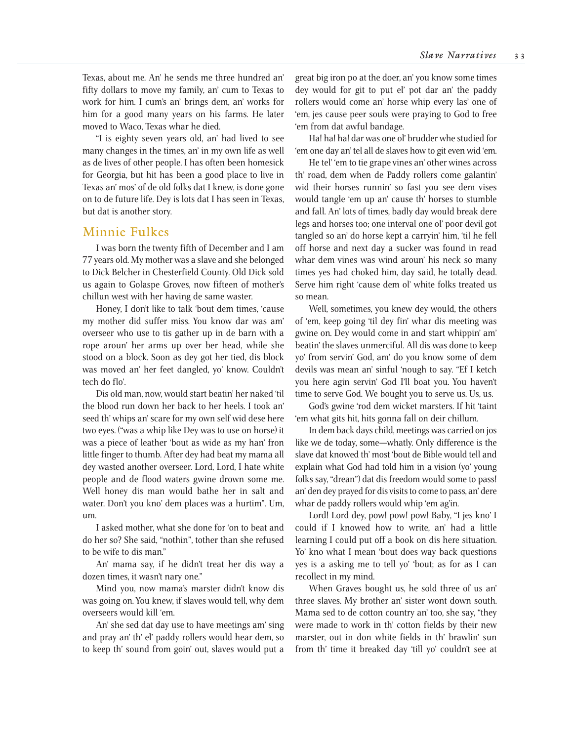Texas, about me. An' he sends me three hundred an' fifty dollars to move my family, an' cum to Texas to work for him. I cum's an' brings dem, an' works for him for a good many years on his farms. He later moved to Waco, Texas whar he died.

"I is eighty seven years old, an' had lived to see many changes in the times, an' in my own life as well as de lives of other people. I has often been homesick for Georgia, but hit has been a good place to live in Texas an' mos' of de old folks dat I knew, is done gone on to de future life. Dey is lots dat I has seen in Texas, but dat is another story.

# Minnie Fulkes

I was born the twenty fifth of December and I am 77 years old. My mother was a slave and she belonged to Dick Belcher in Chesterfield County. Old Dick sold us again to Golaspe Groves, now fifteen of mother's chillun west with her having de same waster.

Honey, I don't like to talk 'bout dem times, 'cause my mother did suffer miss. You know dar was am' overseer who use to tis gather up in de barn with a rope aroun' her arms up over ber head, while she stood on a block. Soon as dey got her tied, dis block was moved an' her feet dangled, yo' know. Couldn't tech do flo'.

Dis old man, now, would start beatin' her naked 'til the blood run down her back to her heels. I took an' seed th' whips an' scare for my own self wid dese here two eyes. ("was a whip like Dey was to use on horse) it was a piece of leather 'bout as wide as my han' fron little finger to thumb. After dey had beat my mama all dey wasted another overseer. Lord, Lord, I hate white people and de flood waters gwine drown some me. Well honey dis man would bathe her in salt and water. Don't you kno' dem places was a hurtim". Um, um.

I asked mother, what she done for 'on to beat and do her so? She said, "nothin", tother than she refused to be wife to dis man."

An' mama say, if he didn't treat her dis way a dozen times, it wasn't nary one."

Mind you, now mama's marster didn't know dis was going on. You knew, if slaves would tell, why dem overseers would kill 'em.

An' she sed dat day use to have meetings am' sing and pray an' th' el' paddy rollers would hear dem, so to keep th' sound from goin' out, slaves would put a great big iron po at the doer, an' you know some times dey would for git to put el' pot dar an' the paddy rollers would come an' horse whip every las' one of 'em, jes cause peer souls were praying to God to free 'em from dat awful bandage.

Ha! ha! ha! dar was one ol' brudder whe studied for 'em one day an' tel all de slaves how to git even wid 'em.

He tel' 'em to tie grape vines an' other wines across th' road, dem when de Paddy rollers come galantin' wid their horses runnin' so fast you see dem vises would tangle 'em up an' cause th' horses to stumble and fall. An' lots of times, badly day would break dere legs and horses too; one interval one ol' poor devil got tangled so an' do horse kept a carryin' him, 'til he fell off horse and next day a sucker was found in read whar dem vines was wind aroun' his neck so many times yes had choked him, day said, he totally dead. Serve him right 'cause dem ol' white folks treated us so mean.

Well, sometimes, you knew dey would, the others of 'em, keep going 'til dey fin' whar dis meeting was gwine on. Dey would come in and start whippin' am' beatin' the slaves unmerciful. All dis was done to keep yo' from servin' God, am' do you know some of dem devils was mean an' sinful 'nough to say. "Ef I ketch you here agin servin' God I'll boat you. You haven't time to serve God. We bought you to serve us. Us, us.

God's gwine 'rod dem wicket marsters. If hit 'taint 'em what gits hit, hits gonna fall on deir chillum.

In dem back days child, meetings was carried on jos like we de today, some—whatly. Only difference is the slave dat knowed th' most 'bout de Bible would tell and explain what God had told him in a vision (yo' young folks say, "drean") dat dis freedom would some to pass! an' den dey prayed for dis visits to come to pass, an' dere whar de paddy rollers would whip 'em ag'in.

Lord! Lord dey, pow! pow! pow! Baby, "I jes kno' I could if I knowed how to write, an' had a little learning I could put off a book on dis here situation. Yo' kno what I mean 'bout does way back questions yes is a asking me to tell yo' 'bout; as for as I can recollect in my mind.

When Graves bought us, he sold three of us an' three slaves. My brother an' sister wont down south. Mama sed to de cotton country an' too, she say, "they were made to work in th' cotton fields by their new marster, out in don white fields in th' brawlin' sun from th' time it breaked day 'till yo' couldn't see at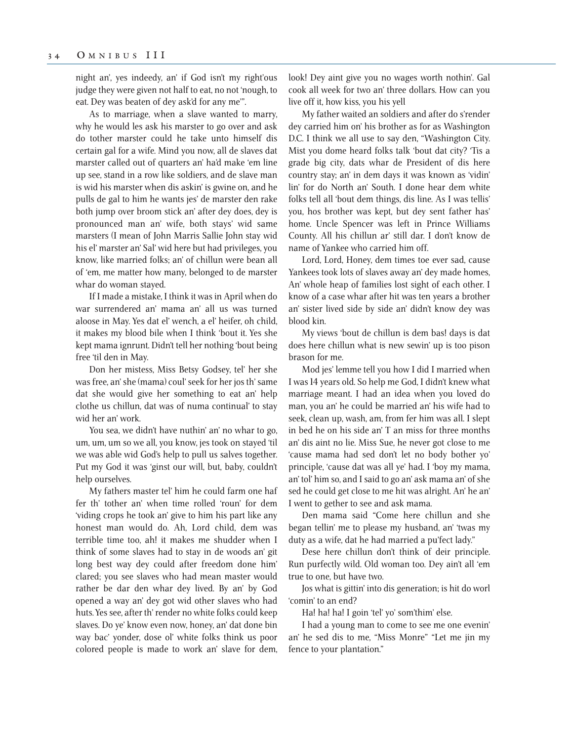night an', yes indeedy, an' if God isn't my right'ous judge they were given not half to eat, no not 'nough, to eat. Dey was beaten of dey ask'd for any me'".

As to marriage, when a slave wanted to marry, why he would les ask his marster to go over and ask do tother marster could he take unto himself dis certain gal for a wife. Mind you now, all de slaves dat marster called out of quarters an' ha'd make 'em line up see, stand in a row like soldiers, and de slave man is wid his marster when dis askin' is gwine on, and he pulls de gal to him he wants jes' de marster den rake both jump over broom stick an' after dey does, dey is pronounced man an' wife, both stays' wid same marsters (I mean of John Marris Sallie John stay wid his el' marster an' Sal' wid here but had privileges, you know, like married folks; an' of chillun were bean all of 'em, me matter how many, belonged to de marster whar do woman stayed.

If I made a mistake, I think it was in April when do war surrendered an' mama an' all us was turned aloose in May. Yes dat el' wench, a el' heifer, oh child, it makes my blood bile when I think 'bout it. Yes she kept mama ignrunt. Didn't tell her nothing 'bout being free 'til den in May.

Don her mistess, Miss Betsy Godsey, tel' her she was free, an' she (mama) coul' seek for her jos th' same dat she would give her something to eat an' help clothe us chillun, dat was of numa continual' to stay wid her an' work.

You sea, we didn't have nuthin' an' no whar to go, um, um, um so we all, you know, jes took on stayed 'til we was able wid God's help to pull us salves together. Put my God it was 'ginst our will, but, baby, couldn't help ourselves.

My fathers master tel' him he could farm one haf fer th' tother an' when time rolled 'roun' for dem 'viding crops he took an' give to him his part like any honest man would do. Ah, Lord child, dem was terrible time too, ah! it makes me shudder when I think of some slaves had to stay in de woods an' git long best way dey could after freedom done him' clared; you see slaves who had mean master would rather be dar den whar dey lived. By an' by God opened a way an' dey got wid other slaves who had huts. Yes see, after th' render no white folks could keep slaves. Do ye' know even now, honey, an' dat done bin way bac' yonder, dose ol' white folks think us poor colored people is made to work an' slave for dem, look! Dey aint give you no wages worth nothin'. Gal cook all week for two an' three dollars. How can you live off it, how kiss, you his yell

My father waited an soldiers and after do s'render dey carried him on' his brother as for as Washington D.C. I think we all use to say den, "Washington City. Mist you dome heard folks talk 'bout dat city? 'Tis a grade big city, dats whar de President of dis here country stay; an' in dem days it was known as 'vidin' lin' for do North an' South. I done hear dem white folks tell all 'bout dem things, dis line. As I was tellis' you, hos brother was kept, but dey sent father has' home. Uncle Spencer was left in Prince Williams County. All his chillun ar' still dar. I don't know de name of Yankee who carried him off.

Lord, Lord, Honey, dem times toe ever sad, cause Yankees took lots of slaves away an' dey made homes, An' whole heap of families lost sight of each other. I know of a case whar after hit was ten years a brother an' sister lived side by side an' didn't know dey was blood kin.

My views 'bout de chillun is dem bas! days is dat does here chillun what is new sewin' up is too pison brason for me.

Mod jes' lemme tell you how I did I married when I was 14 years old. So help me God, I didn't knew what marriage meant. I had an idea when you loved do man, you an' he could be married an' his wife had to seek, clean up, wash, am, from fer him was all. I slept in bed he on his side an' T an miss for three months an' dis aint no lie. Miss Sue, he never got close to me 'cause mama had sed don't let no body bother yo' principle, 'cause dat was all ye' had. I 'boy my mama, an' tol' him so, and I said to go an' ask mama an' of she sed he could get close to me hit was alright. An' he an' I went to gether to see and ask mama.

Den mama said "Come here chillun and she began tellin' me to please my husband, an' 'twas my duty as a wife, dat he had married a pu'fect lady."

Dese here chillun don't think of deir principle. Run purfectly wild. Old woman too. Dey ain't all 'em true to one, but have two.

Jos what is gittin' into dis generation; is hit do worl 'comin' to an end?

Ha! ha! ha! I goin 'tel' yo' som'thim' else.

I had a young man to come to see me one evenin' an' he sed dis to me, "Miss Monre" "Let me jin my fence to your plantation."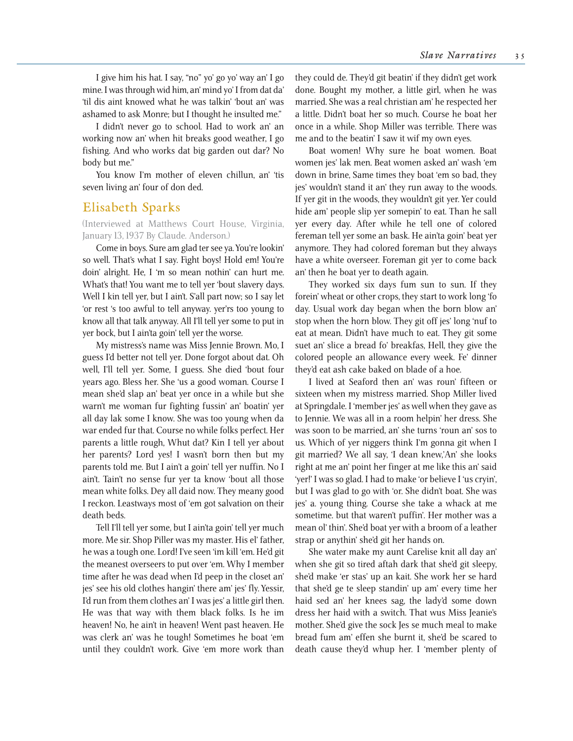I give him his hat. I say, "no" yo' go yo' way an' I go mine. I was through wid him, an' mind yo' I from dat da' 'til dis aint knowed what he was talkin' 'bout an' was ashamed to ask Monre; but I thought he insulted me."

I didn't never go to school. Had to work an' an working now an' when hit breaks good weather, I go fishing. And who works dat big garden out dar? No body but me."

You know I'm mother of eleven chillun, an' 'tis seven living an' four of don ded.

# Elisabeth Sparks

(Interviewed at Matthews Court House, Virginia, January 13, 1937 By Claude. Anderson.)

Come in boys. Sure am glad ter see ya. You're lookin' so well. That's what I say. Fight boys! Hold em! You're doin' alright. He, I 'm so mean nothin' can hurt me. What's that! You want me to tell yer 'bout slavery days. Well I kin tell yer, but I ain't. S'all part now; so I say let 'or rest 's too awful to tell anyway. yer'rs too young to know all that talk anyway. All I'll tell yer some to put in yer bock, but I ain'ta goin' tell yer the worse.

My mistress's name was Miss Jennie Brown. Mo, I guess I'd better not tell yer. Done forgot about dat. Oh well, I'll tell yer. Some, I guess. She died 'bout four years ago. Bless her. She 'us a good woman. Course I mean she'd slap an' beat yer once in a while but she warn't me woman fur fighting fussin' an' boatin' yer all day lak some I know. She was too young when da war ended fur that. Course no while folks perfect. Her parents a little rough, Whut dat? Kin I tell yer about her parents? Lord yes! I wasn't born then but my parents told me. But I ain't a goin' tell yer nuffin. No I ain't. Tain't no sense fur yer ta know 'bout all those mean white folks. Dey all daid now. They meany good I reckon. Leastways most of 'em got salvation on their death beds.

Tell I'll tell yer some, but I ain'ta goin' tell yer much more. Me sir. Shop Piller was my master. His el' father, he was a tough one. Lord! I've seen 'im kill 'em. He'd git the meanest overseers to put over 'em. Why I member time after he was dead when I'd peep in the closet an' jes' see his old clothes hangin' there am' jes' fly. Yessir, I'd run from them clothes an' I was jes' a little girl then. He was that way with them black folks. Is he im heaven! No, he ain't in heaven! Went past heaven. He was clerk an' was he tough! Sometimes he boat 'em until they couldn't work. Give 'em more work than they could de. They'd git beatin' if they didn't get work done. Bought my mother, a little girl, when he was married. She was a real christian am' he respected her a little. Didn't boat her so much. Course he boat her once in a while. Shop Miller was terrible. There was me and to the beatin' I saw it wif my own eyes.

Boat women! Why sure he boat women. Boat women jes' lak men. Beat women asked an' wash 'em down in brine, Same times they boat 'em so bad, they jes' wouldn't stand it an' they run away to the woods. If yer git in the woods, they wouldn't git yer. Yer could hide am' people slip yer somepin' to eat. Than he sall yer every day. After while he tell one of colored fereman tell yer some an bask. He ain'ta goin' beat yer anymore. They had colored foreman but they always have a white overseer. Foreman git yer to come back an' then he boat yer to death again.

They worked six days fum sun to sun. If they forein' wheat or other crops, they start to work long 'fo day. Usual work day began when the born blow an' stop when the horn blow. They git off jes' long 'nuf to eat at mean. Didn't have much to eat. They git some suet an' slice a bread fo' breakfas, Hell, they give the colored people an allowance every week. Fe' dinner they'd eat ash cake baked on blade of a hoe.

I lived at Seaford then an' was roun' fifteen or sixteen when my mistress married. Shop Miller lived at Springdale. I 'member jes' as well when they gave as to Jennie. We was all in a room helpin' her dress. She was soon to be married, an' she turns 'roun an' sos to us. Which of yer niggers think I'm gonna git when I git married? We all say, 'I dean knew,'An' she looks right at me an' point her finger at me like this an' said 'yer!' I was so glad. I had to make 'or believe I 'us cryin', but I was glad to go with 'or. She didn't boat. She was jes' a. young thing. Course she take a whack at me sometime. but that waren't puffin'. Her mother was a mean ol' thin'. She'd boat yer with a broom of a leather strap or anythin' she'd git her hands on.

She water make my aunt Carelise knit all day an' when she git so tired aftah dark that she'd git sleepy, she'd make 'er stas' up an kait. She work her se hard that she'd ge te sleep standin' up am' every time her haid sed an' her knees sag, the lady'd some down dress her haid with a switch. That wus Miss Jeanie's mother. She'd give the sock Jes se much meal to make bread fum am' effen she burnt it, she'd be scared to death cause they'd whup her. I 'member plenty of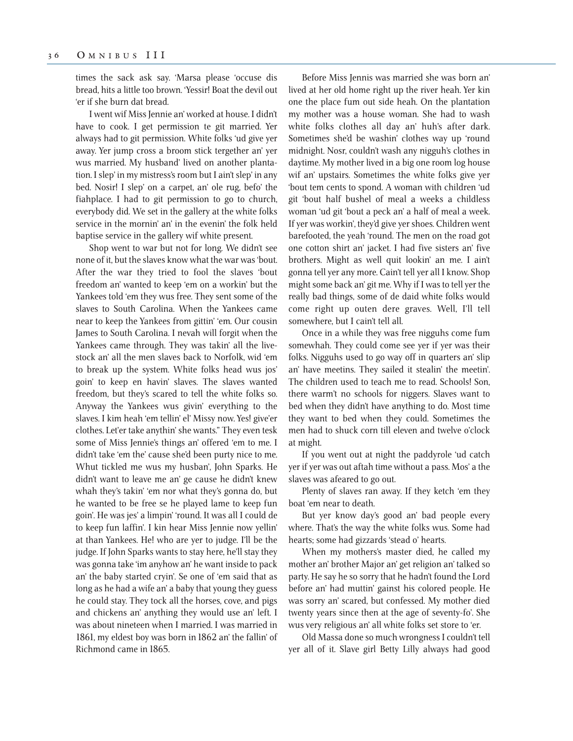times the sack ask say. 'Marsa please 'occuse dis bread, hits a little too brown. 'Yessir! Boat the devil out 'er if she burn dat bread.

I went wif Miss Jennie an' worked at house. I didn't have to cook. I get permission te git married. Yer always had to git permission. White folks 'ud give yer away. Yer jump cross a broom stick tergether an' yer wus married. My husband' lived on another plantation. I slep' in my mistress's room but I ain't slep' in any bed. Nosir! I slep' on a carpet, an' ole rug, befo' the fiahplace. I had to git permission to go to church, everybody did. We set in the gallery at the white folks service in the mornin' an' in the evenin' the folk held baptise service in the gallery wif white present.

Shop went to war but not for long. We didn't see none of it, but the slaves know what the war was 'bout. After the war they tried to fool the slaves 'bout freedom an' wanted to keep 'em on a workin' but the Yankees told 'em they wus free. They sent some of the slaves to South Carolina. When the Yankees came near to keep the Yankees from gittin' 'em. Our cousin James to South Carolina. I nevah will forgit when the Yankees came through. They was takin' all the livestock an' all the men slaves back to Norfolk, wid 'em to break up the system. White folks head wus jos' goin' to keep en havin' slaves. The slaves wanted freedom, but they's scared to tell the white folks so. Anyway the Yankees wus givin' everything to the slaves. I kim heah 'em tellin' el' Missy now. Yes! give'er clothes. Let'er take anythin' she wants." They even tesk some of Miss Jennie's things an' offered 'em to me. I didn't take 'em the' cause she'd been purty nice to me. Whut tickled me wus my husban', John Sparks. He didn't want to leave me an' ge cause he didn't knew whah they's takin' 'em nor what they's gonna do, but he wanted to be free se he played lame to keep fun goin'. He was jes' a limpin' 'round. It was all I could de to keep fun laffin'. I kin hear Miss Jennie now yellin' at than Yankees. He! who are yer to judge. I'll be the judge. If John Sparks wants to stay here, he'll stay they was gonna take 'im anyhow an' he want inside to pack an' the baby started cryin'. Se one of 'em said that as long as he had a wife an' a baby that young they guess he could stay. They tock all the horses, cove, and pigs and chickens an' anything they would use an' left. I was about nineteen when I married. I was married in 1861, my eldest boy was born in 1862 an' the fallin' of Richmond came in 1865.

Before Miss Jennis was married she was born an' lived at her old home right up the river heah. Yer kin one the place fum out side heah. On the plantation my mother was a house woman. She had to wash white folks clothes all day an' huh's after dark. Sometimes she'd be washin' clothes way up 'round midnight. Nosr, couldn't wash any nigguh's clothes in daytime. My mother lived in a big one room log house wif an' upstairs. Sometimes the white folks give yer 'bout tem cents to spond. A woman with children 'ud git 'bout half bushel of meal a weeks a childless woman 'ud git 'bout a peck an' a half of meal a week. If yer was workin', they'd give yer shoes. Children went barefooted, the yeah 'round. The men on the road got one cotton shirt an' jacket. I had five sisters an' five brothers. Might as well quit lookin' an me. I ain't gonna tell yer any more. Cain't tell yer all I know. Shop might some back an' git me. Why if I was to tell yer the really bad things, some of de daid white folks would come right up outen dere graves. Well, I'll tell somewhere, but I cain't tell all.

Once in a while they was free nigguhs come fum somewhah. They could come see yer if yer was their folks. Nigguhs used to go way off in quarters an' slip an' have meetins. They sailed it stealin' the meetin'. The children used to teach me to read. Schools! Son, there warm't no schools for niggers. Slaves want to bed when they didn't have anything to do. Most time they want to bed when they could. Sometimes the men had to shuck corn till eleven and twelve o'clock at might.

If you went out at night the paddyrole 'ud catch yer if yer was out aftah time without a pass. Mos' a the slaves was afeared to go out.

Plenty of slaves ran away. If they ketch 'em they boat 'em near to death.

But yer know day's good an' bad people every where. That's the way the white folks wus. Some had hearts; some had gizzards 'stead o' hearts.

When my mothers's master died, he called my mother an' brother Major an' get religion an' talked so party. He say he so sorry that he hadn't found the Lord before an' had muttin' gainst his colored people. He was sorry an' scared, but confessed. My mother died twenty years since then at the age of seventy-fo'. She wus very religious an' all white folks set store to 'er.

Old Massa done so much wrongness I couldn't tell yer all of it. Slave girl Betty Lilly always had good